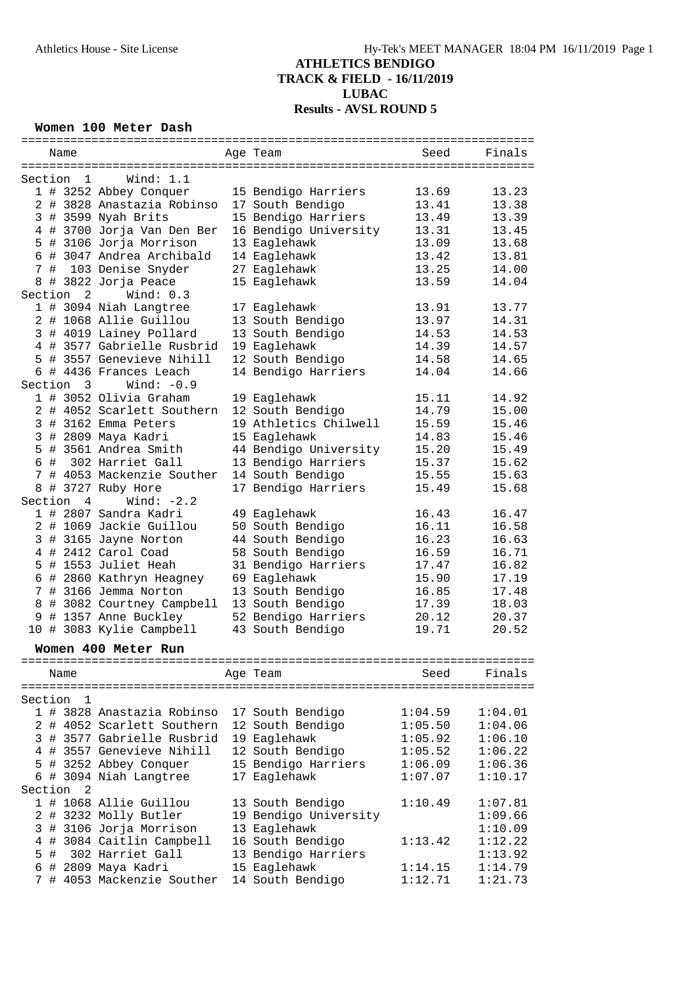#### **Women 100 Meter Dash**

|         |  | Name      |                            |  | Age Team              | Seed    | Finals  |
|---------|--|-----------|----------------------------|--|-----------------------|---------|---------|
|         |  |           |                            |  |                       |         |         |
|         |  | Section 1 | Wind: $1.1$                |  |                       |         |         |
|         |  |           | 1 # 3252 Abbey Conquer     |  | 15 Bendigo Harriers   | 13.69   | 13.23   |
|         |  |           | 2 # 3828 Anastazia Robinso |  | 17 South Bendigo      | 13.41   | 13.38   |
|         |  |           | 3 # 3599 Nyah Brits        |  | 15 Bendigo Harriers   | 13.49   | 13.39   |
|         |  |           |                            |  | 16 Bendigo University |         | 13.45   |
|         |  |           | 4 # 3700 Jorja Van Den Ber |  |                       | 13.31   |         |
|         |  |           | 5 # 3106 Jorja Morrison    |  | 13 Eaglehawk          | 13.09   | 13.68   |
|         |  |           | 6 # 3047 Andrea Archibald  |  | 14 Eaglehawk          | 13.42   | 13.81   |
|         |  |           | 7 # 103 Denise Snyder      |  | 27 Eaglehawk          | 13.25   | 14.00   |
| 8       |  |           | # 3822 Jorja Peace         |  | 15 Eaglehawk          | 13.59   | 14.04   |
|         |  | Section 2 | Wind: $0.3$                |  |                       |         |         |
|         |  |           | 1 # 3094 Niah Langtree     |  | 17 Eaglehawk          | 13.91   | 13.77   |
|         |  |           | 2 # 1068 Allie Guillou     |  | 13 South Bendigo      | 13.97   | 14.31   |
|         |  |           | 3 # 4019 Lainey Pollard    |  | 13 South Bendigo      | 14.53   | 14.53   |
|         |  |           | 4 # 3577 Gabrielle Rusbrid |  | 19 Eaglehawk          | 14.39   | 14.57   |
|         |  |           | 5 # 3557 Genevieve Nihill  |  | 12 South Bendigo      | 14.58   | 14.65   |
|         |  |           | 6 # 4436 Frances Leach     |  | 14 Bendigo Harriers   | 14.04   | 14.66   |
|         |  |           |                            |  |                       |         |         |
|         |  | Section 3 | Wind: $-0.9$               |  |                       |         |         |
|         |  |           | 1 # 3052 Olivia Graham     |  | 19 Eaglehawk          | 15.11   | 14.92   |
|         |  |           | 2 # 4052 Scarlett Southern |  | 12 South Bendigo      | 14.79   | 15.00   |
|         |  |           | 3 # 3162 Emma Peters       |  | 19 Athletics Chilwell | 15.59   | 15.46   |
|         |  |           | 3 # 2809 Maya Kadri        |  | 15 Eaglehawk          | 14.83   | 15.46   |
|         |  |           | 5 # 3561 Andrea Smith      |  | 44 Bendigo University | 15.20   | 15.49   |
|         |  |           | 6 # 302 Harriet Gall       |  | 13 Bendigo Harriers   | 15.37   | 15.62   |
|         |  |           | 7 # 4053 Mackenzie Souther |  | 14 South Bendigo      | 15.55   | 15.63   |
|         |  |           | 8 # 3727 Ruby Hore         |  | 17 Bendigo Harriers   | 15.49   | 15.68   |
|         |  | Section 4 | Wind: $-2.2$               |  |                       |         |         |
|         |  |           | 1 # 2807 Sandra Kadri      |  | 49 Eaglehawk          | 16.43   | 16.47   |
|         |  |           |                            |  |                       |         |         |
|         |  |           | 2 # 1069 Jackie Guillou    |  | 50 South Bendigo      | 16.11   | 16.58   |
|         |  |           | 3 # 3165 Jayne Norton      |  | 44 South Bendigo      | 16.23   | 16.63   |
|         |  |           | 4 # 2412 Carol Coad        |  | 58 South Bendigo      | 16.59   | 16.71   |
|         |  |           | 5 # 1553 Juliet Heah       |  | 31 Bendigo Harriers   | 17.47   | 16.82   |
|         |  |           | 6 # 2860 Kathryn Heagney   |  | 69 Eaglehawk          | 15.90   | 17.19   |
|         |  |           | 7 # 3166 Jemma Norton      |  | 13 South Bendigo      | 16.85   | 17.48   |
|         |  |           | 8 # 3082 Courtney Campbell |  | 13 South Bendigo      | 17.39   | 18.03   |
|         |  |           | 9 # 1357 Anne Buckley      |  | 52 Bendigo Harriers   | 20.12   | 20.37   |
|         |  |           | 10 # 3083 Kylie Campbell   |  | 43 South Bendigo      | 19.71   | 20.52   |
|         |  |           |                            |  |                       |         |         |
|         |  |           | Women 400 Meter Run        |  |                       |         |         |
|         |  |           |                            |  |                       |         |         |
|         |  | Name      |                            |  | Age Team              | Seed    | Finals  |
|         |  |           |                            |  |                       |         |         |
| Section |  | ı         |                            |  |                       |         |         |
|         |  |           | 1 # 3828 Anastazia Robinso |  | 17 South Bendigo      | 1:04.59 | 1:04.01 |
|         |  |           | 2 # 4052 Scarlett Southern |  | 12 South Bendigo      | 1:05.50 | 1:04.06 |
|         |  |           | 3 # 3577 Gabrielle Rusbrid |  | 19 Eaglehawk          | 1:05.92 | 1:06.10 |
|         |  |           | 4 # 3557 Genevieve Nihill  |  | 12 South Bendigo      | 1:05.52 | 1:06.22 |
|         |  |           | 5 # 3252 Abbey Conquer     |  | 15 Bendigo Harriers   | 1:06.09 | 1:06.36 |
|         |  |           | 6 # 3094 Niah Langtree     |  |                       |         |         |
|         |  |           |                            |  | 17 Eaglehawk          | 1:07.07 | 1:10.17 |
| Section |  | -2        |                            |  |                       |         |         |
|         |  |           | 1 # 1068 Allie Guillou     |  | 13 South Bendigo      | 1:10.49 | 1:07.81 |
|         |  |           | 2 # 3232 Molly Butler      |  | 19 Bendigo University |         | 1:09.66 |
|         |  |           | 3 # 3106 Jorja Morrison    |  | 13 Eaglehawk          |         | 1:10.09 |
|         |  |           | 4 # 3084 Caitlin Campbell  |  | 16 South Bendigo      | 1:13.42 | 1:12.22 |
| 5       |  |           | # 302 Harriet Gall         |  | 13 Bendigo Harriers   |         | 1:13.92 |
|         |  |           | 6 # 2809 Maya Kadri        |  | 15 Eaglehawk          | 1:14.15 | 1:14.79 |
|         |  |           | 7 # 4053 Mackenzie Souther |  | 14 South Bendigo      | 1:12.71 | 1:21.73 |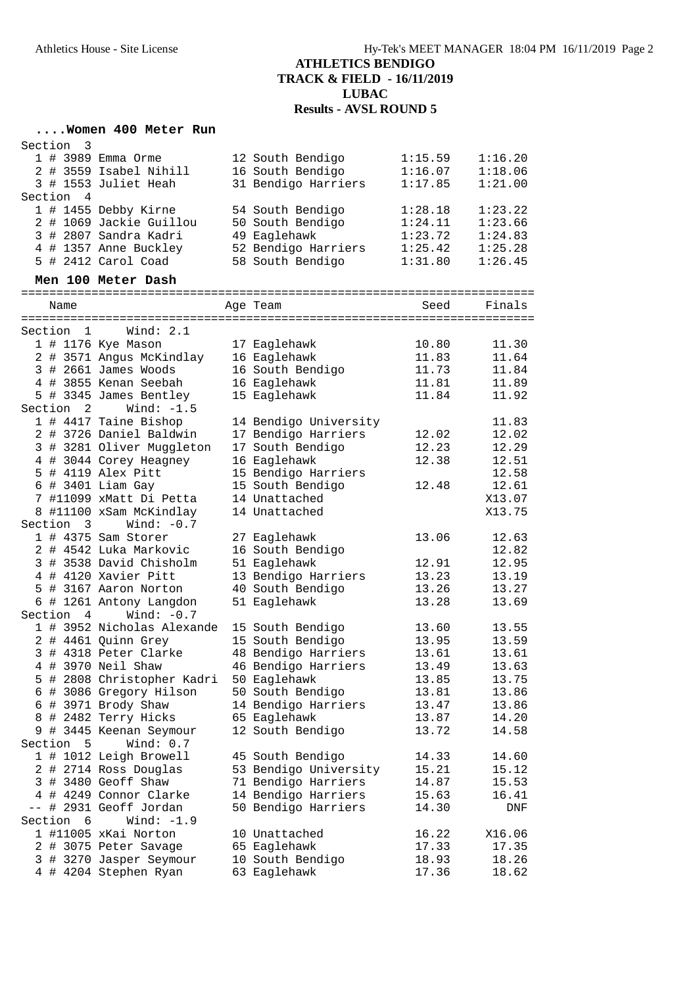### **....Women 400 Meter Run**

| Section<br>-3  |                            |                       |         |         |
|----------------|----------------------------|-----------------------|---------|---------|
|                | 1 # 3989 Emma Orme         | 12 South Bendigo      | 1:15.59 | 1:16.20 |
|                | 2 # 3559 Isabel Nihill     | 16 South Bendigo      | 1:16.07 | 1:18.06 |
|                | 3 # 1553 Juliet Heah       | 31 Bendigo Harriers   | 1:17.85 | 1:21.00 |
| Section 4      |                            |                       |         |         |
|                | 1 # 1455 Debby Kirne       | 54 South Bendigo      | 1:28.18 | 1:23.22 |
|                | 2 # 1069 Jackie Guillou    | 50 South Bendigo      | 1:24.11 | 1:23.66 |
|                | 3 # 2807 Sandra Kadri      | 49 Eaglehawk          | 1:23.72 | 1:24.83 |
|                | 4 # 1357 Anne Buckley      | 52 Bendigo Harriers   | 1:25.42 | 1:25.28 |
|                | 5 # 2412 Carol Coad        | 58 South Bendigo      | 1:31.80 | 1:26.45 |
|                | Men 100 Meter Dash         |                       |         |         |
|                |                            |                       |         |         |
| Name           |                            | Age Team              | Seed    | Finals  |
|                |                            |                       |         |         |
| 1<br>Section   | Wind: 2.1                  |                       |         |         |
|                | 1 # 1176 Kye Mason         | 17 Eaglehawk          | 10.80   | 11.30   |
|                | 2 # 3571 Angus McKindlay   | 16 Eaglehawk          | 11.83   | 11.64   |
|                | 3 # 2661 James Woods       | 16 South Bendigo      | 11.73   | 11.84   |
|                | 4 # 3855 Kenan Seebah      | 16 Eaglehawk          | 11.81   | 11.89   |
|                | 5 # 3345 James Bentley     | 15 Eaglehawk          | 11.84   | 11.92   |
| Section 2      | Wind: $-1.5$               |                       |         |         |
|                | 1 # 4417 Taine Bishop      | 14 Bendigo University |         | 11.83   |
|                | 2 # 3726 Daniel Baldwin    | 17 Bendigo Harriers   | 12.02   | 12.02   |
|                | 3 # 3281 Oliver Muggleton  | 17 South Bendigo      | 12.23   | 12.29   |
|                | 4 # 3044 Corey Heagney     | 16 Eaglehawk          | 12.38   | 12.51   |
|                | 5 # 4119 Alex Pitt         | 15 Bendigo Harriers   |         | 12.58   |
|                | 6 # 3401 Liam Gay          | 15 South Bendigo      | 12.48   | 12.61   |
|                | 7 #11099 xMatt Di Petta    | 14 Unattached         |         | X13.07  |
|                | 8 #11100 xSam McKindlay    | 14 Unattached         |         | X13.75  |
| Section 3      | Wind: $-0.7$               |                       |         |         |
|                | $1$ # 4375 Sam Storer      | 27 Eaglehawk          | 13.06   | 12.63   |
|                | 2 # 4542 Luka Markovic     | 16 South Bendigo      |         | 12.82   |
|                | 3 # 3538 David Chisholm    | 51 Eaglehawk          | 12.91   | 12.95   |
|                | 4 # 4120 Xavier Pitt       | 13 Bendigo Harriers   | 13.23   | 13.19   |
|                | 5 # 3167 Aaron Norton      | 40 South Bendigo      | 13.26   | 13.27   |
|                | 6 # 1261 Antony Langdon    | 51 Eaglehawk          | 13.28   | 13.69   |
| Section 4      | Wind: $-0.7$               |                       |         |         |
|                | 1 # 3952 Nicholas Alexande | 15 South Bendigo      | 13.60   | 13.55   |
|                | 2 # 4461 Quinn Grey        | 15 South Bendigo      | 13.95   | 13.59   |
|                | 3 # 4318 Peter Clarke      | 48 Bendigo Harriers   | 13.61   | 13.61   |
|                | 4 # 3970 Neil Shaw         | 46 Bendigo Harriers   | 13.49   | 13.63   |
|                | 5 # 2808 Christopher Kadri | 50 Eaglehawk          | 13.85   | 13.75   |
|                | 6 # 3086 Gregory Hilson    | 50 South Bendigo      | 13.81   | 13.86   |
|                | 6 # 3971 Brody Shaw        | 14 Bendigo Harriers   | 13.47   | 13.86   |
|                | 8 # 2482 Terry Hicks       | 65 Eaglehawk          | 13.87   | 14.20   |
|                | 9 # 3445 Keenan Seymour    | 12 South Bendigo      | 13.72   | 14.58   |
| Section<br>5   | Wind: 0.7                  |                       |         |         |
|                | 1 # 1012 Leigh Browell     | 45 South Bendigo      | 14.33   | 14.60   |
|                | 2 # 2714 Ross Douglas      | 53 Bendigo University | 15.21   | 15.12   |
|                | 3 # 3480 Geoff Shaw        | 71 Bendigo Harriers   | 14.87   | 15.53   |
|                | 4 # 4249 Connor Clarke     | 14 Bendigo Harriers   | 15.63   | 16.41   |
|                | -- # 2931 Geoff Jordan     | 50 Bendigo Harriers   | 14.30   |         |
| Section<br>- 6 | Wind: $-1.9$               |                       |         | DNF     |
|                | 1 #11005 xKai Norton       | 10 Unattached         | 16.22   | X16.06  |
|                |                            |                       |         | 17.35   |
|                | 2 # 3075 Peter Savage      | 65 Eaglehawk          | 17.33   |         |
|                | 3 # 3270 Jasper Seymour    | 10 South Bendigo      | 18.93   | 18.26   |
|                | 4 # 4204 Stephen Ryan      | 63 Eaglehawk          | 17.36   | 18.62   |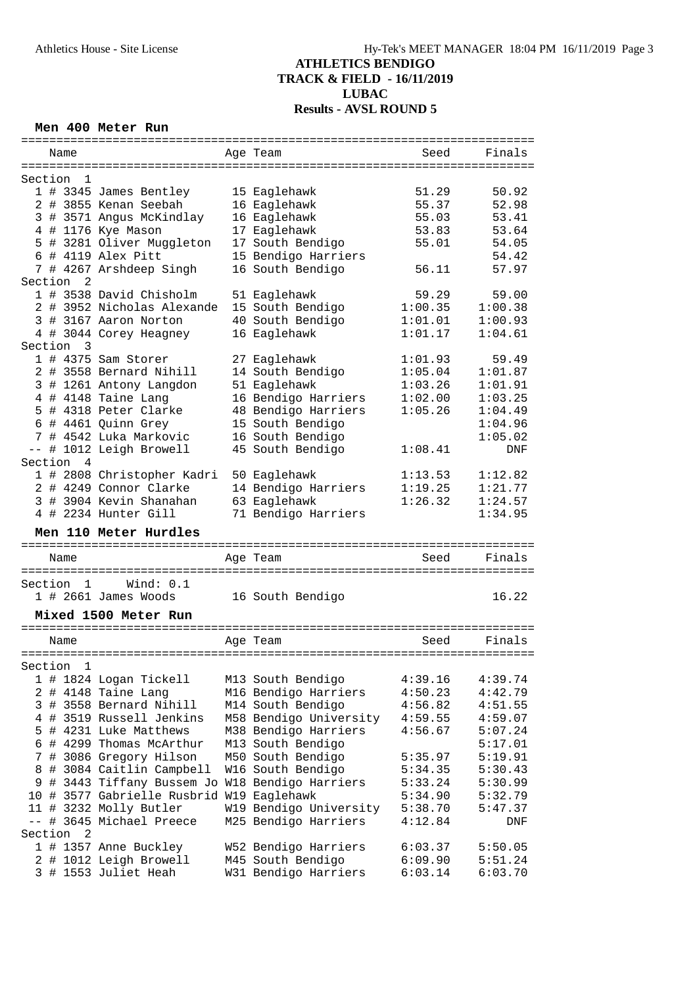#### **Men 400 Meter Run**

| =========    |                |                                                | :========== <b>:</b>                      | ============================ |                    |
|--------------|----------------|------------------------------------------------|-------------------------------------------|------------------------------|--------------------|
|              | Name           |                                                | Age Team                                  | Seed                         | Finals             |
|              |                |                                                |                                           |                              |                    |
| Section      | 1              |                                                |                                           |                              |                    |
|              |                | 1 # 3345 James Bentley                         | 15 Eaglehawk                              | 51.29                        | 50.92              |
|              |                | 2 # 3855 Kenan Seebah                          | 16 Eaglehawk                              | 55.37                        | 52.98              |
|              |                | 3 # 3571 Angus McKindlay                       | 16 Eaglehawk                              | 55.03                        | 53.41              |
|              |                | 4 # 1176 Kye Mason                             | 17 Eaglehawk                              | 53.83                        | 53.64              |
|              |                |                                                |                                           |                              |                    |
| 5            |                | # 3281 Oliver Muggleton                        | 17 South Bendigo                          | 55.01                        | 54.05              |
|              |                | $6$ # 4119 Alex Pitt                           | 15 Bendigo Harriers                       |                              | 54.42              |
|              |                | 7 # 4267 Arshdeep Singh                        | 16 South Bendigo                          | 56.11                        | 57.97              |
| Section      | 2              |                                                |                                           |                              |                    |
|              |                | 1 # 3538 David Chisholm                        | 51 Eaglehawk                              | 59.29                        | 59.00              |
|              |                | 2 # 3952 Nicholas Alexande                     | 15 South Bendigo                          | 1:00.35                      | 1:00.38            |
|              |                | 3 # 3167 Aaron Norton                          | 40 South Bendigo                          | 1:01.01                      | 1:00.93            |
|              |                | 4 # 3044 Corey Heagney                         | 16 Eaglehawk                              | 1:01.17                      | 1:04.61            |
| Section      | 3              |                                                |                                           |                              |                    |
|              |                | $1$ # 4375 Sam Storer                          | 27 Eaglehawk                              | 1:01.93                      | 59.49              |
|              |                | 2 # 3558 Bernard Nihill                        | 14 South Bendigo                          | 1:05.04                      | 1:01.87            |
| 3            |                | # 1261 Antony Langdon                          | 51 Eaglehawk                              | 1:03.26                      | 1:01.91            |
|              |                | 4 # 4148 Taine Lang                            |                                           | 1:02.00                      | 1:03.25            |
|              |                |                                                | 16 Bendigo Harriers                       |                              |                    |
|              |                | 5 # 4318 Peter Clarke                          | 48 Bendigo Harriers                       | 1:05.26                      | 1:04.49            |
|              |                | 6 # 4461 Quinn Grey                            | 15 South Bendigo                          |                              | 1:04.96            |
|              |                | 7 # 4542 Luka Markovic                         | 16 South Bendigo                          |                              | 1:05.02            |
|              |                | -- # 1012 Leigh Browell                        | 45 South Bendigo                          | 1:08.41                      | <b>DNF</b>         |
| Section      | $\overline{4}$ |                                                |                                           |                              |                    |
|              |                | 1 # 2808 Christopher Kadri                     | 50 Eaglehawk                              | 1:13.53                      | 1:12.82            |
|              |                | 2 # 4249 Connor Clarke                         | 14 Bendigo Harriers                       | 1:19.25                      | 1:21.77            |
|              |                | 3 # 3904 Kevin Shanahan                        | 63 Eaglehawk                              | 1:26.32                      | 1:24.57            |
|              |                |                                                |                                           |                              |                    |
|              |                |                                                |                                           |                              |                    |
|              |                | 4 # 2234 Hunter Gill                           | 71 Bendigo Harriers                       |                              | 1:34.95            |
|              |                | Men 110 Meter Hurdles                          |                                           |                              |                    |
|              |                | ==============================                 | ==================================        |                              |                    |
|              | Name           |                                                | Aqe Team                                  | Seed                         | Finals             |
| ============ |                |                                                |                                           |                              |                    |
| Section      | $\mathbf{1}$   | Wind: 0.1                                      |                                           |                              |                    |
|              |                | 1 # 2661 James Woods                           | 16 South Bendigo                          |                              | 16.22              |
|              |                |                                                |                                           |                              |                    |
|              |                | Mixed 1500 Meter Run                           |                                           |                              |                    |
|              |                |                                                |                                           |                              |                    |
|              | Name           |                                                | Age Team                                  | Seed                         | Finals             |
|              |                |                                                |                                           |                              |                    |
| Section      | 1              |                                                |                                           |                              |                    |
|              |                | 1 # 1824 Logan Tickell                         | M13 South Bendigo                         | 4:39.16                      | 4:39.74            |
|              |                | 2 # 4148 Taine Lang                            | M16 Bendigo Harriers                      | 4:50.23                      | 4:42.79            |
| 3            |                | # 3558 Bernard Nihill                          | M14 South Bendigo                         | 4:56.82                      | 4:51.55            |
|              |                | 4 # 3519 Russell Jenkins                       | M58 Bendigo University                    | 4:59.55                      | 4:59.07            |
|              |                | 5 # 4231 Luke Matthews                         | M38 Bendigo Harriers                      | 4:56.67                      | 5:07.24            |
|              |                | 6 # 4299 Thomas McArthur                       | M13 South Bendigo                         |                              | 5:17.01            |
| 7            |                | # 3086 Gregory Hilson                          | M50 South Bendigo                         | 5:35.97                      | 5:19.91            |
| 8            |                | # 3084 Caitlin Campbell                        |                                           | 5:34.35                      | 5:30.43            |
| 9            |                |                                                | W16 South Bendigo                         |                              |                    |
|              |                | # 3443 Tiffany Bussem Jo                       | W18 Bendigo Harriers                      | 5:33.24                      | 5:30.99            |
|              |                | 10 # 3577 Gabrielle Rusbrid W19 Eaglehawk      |                                           | 5:34.90                      | 5:32.79            |
|              |                | 11 # 3232 Molly Butler                         | W19 Bendigo University                    | 5:38.70                      | 5:47.37            |
| $--$         |                | # 3645 Michael Preece                          | M25 Bendigo Harriers                      | 4:12.84                      | DNF                |
| Section      | 2              |                                                |                                           |                              |                    |
|              |                | 1 # 1357 Anne Buckley                          | W52 Bendigo Harriers                      | 6:03.37                      | 5:50.05            |
|              |                | 2 # 1012 Leigh Browell<br>3 # 1553 Juliet Heah | M45 South Bendigo<br>W31 Bendigo Harriers | 6:09.90<br>6:03.14           | 5:51.24<br>6:03.70 |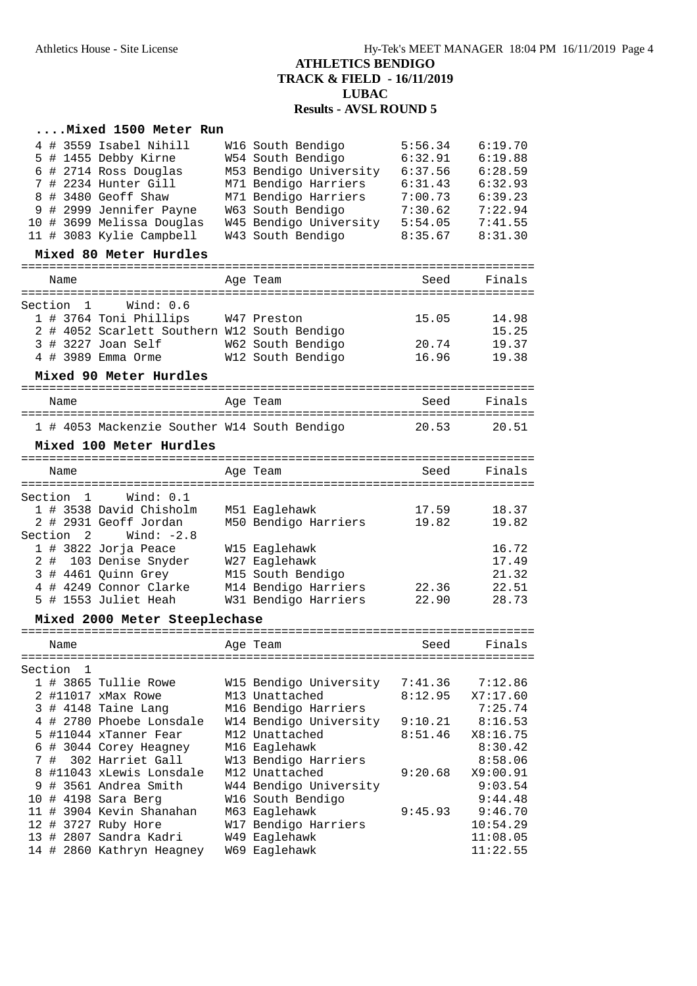### **....Mixed 1500 Meter Run**

| 8<br>9 |                                                 | 4 # 3559 Isabel Nihill<br>5 # 1455 Debby Kirne<br>6 # 2714 Ross Douglas<br>7 # 2234 Hunter Gill<br># 3480 Geoff Shaw<br># 2999 Jennifer Payne<br>10 # 3699 Melissa Douglas<br>11 # 3083 Kylie Campbell | W16 South Bendigo<br>W54 South Bendigo<br>M53 Bendigo University<br>M71 Bendigo Harriers<br>M71 Bendigo Harriers<br>W63 South Bendigo<br>W45 Bendigo University<br>W43 South Bendigo | 5:56.34<br>6:32.91<br>6:37.56<br>6:31.43<br>7:00.73<br>7:30.62<br>5:54.05<br>8:35.67 | 6:19.70<br>6:19.88<br>6:28.59<br>6:32.93<br>6:39.23<br>7:22.94<br>7:41.55<br>8:31.30 |
|--------|-------------------------------------------------|--------------------------------------------------------------------------------------------------------------------------------------------------------------------------------------------------------|--------------------------------------------------------------------------------------------------------------------------------------------------------------------------------------|--------------------------------------------------------------------------------------|--------------------------------------------------------------------------------------|
|        |                                                 | Mixed 80 Meter Hurdles                                                                                                                                                                                 |                                                                                                                                                                                      |                                                                                      |                                                                                      |
|        | Name                                            | ==========================                                                                                                                                                                             | =================================<br>Age Team                                                                                                                                        | Seed                                                                                 | Finals                                                                               |
|        |                                                 |                                                                                                                                                                                                        |                                                                                                                                                                                      |                                                                                      |                                                                                      |
|        | Section 1                                       | Wind: 0.6<br>1 # 3764 Toni Phillips<br>2 # 4052 Scarlett Southern W12 South Bendigo<br>3 # 3227 Joan Self<br>4 # 3989 Emma Orme                                                                        | W47 Preston<br>W62 South Bendigo<br>W12 South Bendigo                                                                                                                                | 15.05<br>20.74<br>16.96                                                              | 14.98<br>15.25<br>19.37<br>19.38                                                     |
|        |                                                 | Mixed 90 Meter Hurdles                                                                                                                                                                                 |                                                                                                                                                                                      |                                                                                      |                                                                                      |
|        | Name                                            |                                                                                                                                                                                                        | Age Team                                                                                                                                                                             | Seed                                                                                 | Finals                                                                               |
|        |                                                 |                                                                                                                                                                                                        |                                                                                                                                                                                      |                                                                                      |                                                                                      |
|        |                                                 | 1 # 4053 Mackenzie Souther W14 South Bendigo                                                                                                                                                           |                                                                                                                                                                                      | 20.53                                                                                | 20.51                                                                                |
|        |                                                 | Mixed 100 Meter Hurdles                                                                                                                                                                                |                                                                                                                                                                                      |                                                                                      |                                                                                      |
|        | Name                                            |                                                                                                                                                                                                        | Age Team                                                                                                                                                                             | Seed<br>=======================                                                      | Finals                                                                               |
| 2#     | Section<br>$\mathbf{1}$<br>Section <sub>2</sub> | Wind: 0.1<br>1 # 3538 David Chisholm<br>2 # 2931 Geoff Jordan<br>Wind: $-2.8$<br>1 # 3822 Jorja Peace<br>103 Denise Snyder<br>3 # 4461 Quinn Grey<br>4 # 4249 Connor Clarke<br>5 # 1553 Juliet Heah    | M51 Eaglehawk<br>M50 Bendigo Harriers<br>W15 Eaglehawk<br>W27 Eaglehawk<br>M15 South Bendigo<br>M14 Bendigo Harriers<br>W31 Bendigo Harriers                                         | 17.59<br>19.82<br>22.36<br>22.90                                                     | 18.37<br>19.82<br>16.72<br>17.49<br>21.32<br>22.51<br>28.73                          |
|        |                                                 | Mixed 2000 Meter Steeplechase                                                                                                                                                                          |                                                                                                                                                                                      |                                                                                      |                                                                                      |
|        |                                                 |                                                                                                                                                                                                        |                                                                                                                                                                                      |                                                                                      |                                                                                      |
|        | Name                                            |                                                                                                                                                                                                        | Age Team                                                                                                                                                                             | Seed                                                                                 | Finals                                                                               |
|        | Section<br>$\mathbf{1}$                         |                                                                                                                                                                                                        |                                                                                                                                                                                      |                                                                                      |                                                                                      |
|        |                                                 | 1 # 3865 Tullie Rowe<br>2 #11017 xMax Rowe<br>3 # 4148 Taine Lang                                                                                                                                      | W15 Bendigo University<br>M13 Unattached<br>M16 Bendigo Harriers                                                                                                                     | 7:41.36<br>8:12.95                                                                   | 7:12.86<br>X7:17.60<br>7:25.74                                                       |
|        |                                                 | 4 # 2780 Phoebe Lonsdale<br>5 #11044 xTanner Fear<br>6 # 3044 Corey Heagney                                                                                                                            | W14 Bendigo University<br>M12 Unattached<br>M16 Eaglehawk                                                                                                                            | 9:10.21<br>8:51.46                                                                   | 8:16.53<br>X8:16.75<br>8:30.42                                                       |
|        | 7#                                              | 302 Harriet Gall<br>8 #11043 xLewis Lonsdale<br>9 # 3561 Andrea Smith<br>10 # 4198 Sara Berg                                                                                                           | W13 Bendigo Harriers<br>M12 Unattached<br>W44 Bendigo University<br>W16 South Bendigo                                                                                                | 9:20.68                                                                              | 8:58.06<br>X9:00.91<br>9:03.54<br>9:44.48                                            |
|        |                                                 | 11 # 3904 Kevin Shanahan<br>12 # 3727 Ruby Hore<br>13 # 2807 Sandra Kadri<br>14 # 2860 Kathryn Heagney                                                                                                 | M63 Eaglehawk<br>W17 Bendigo Harriers<br>W49 Eaglehawk<br>W69 Eaglehawk                                                                                                              | 9:45.93                                                                              | 9:46.70<br>10:54.29<br>11:08.05<br>11:22.55                                          |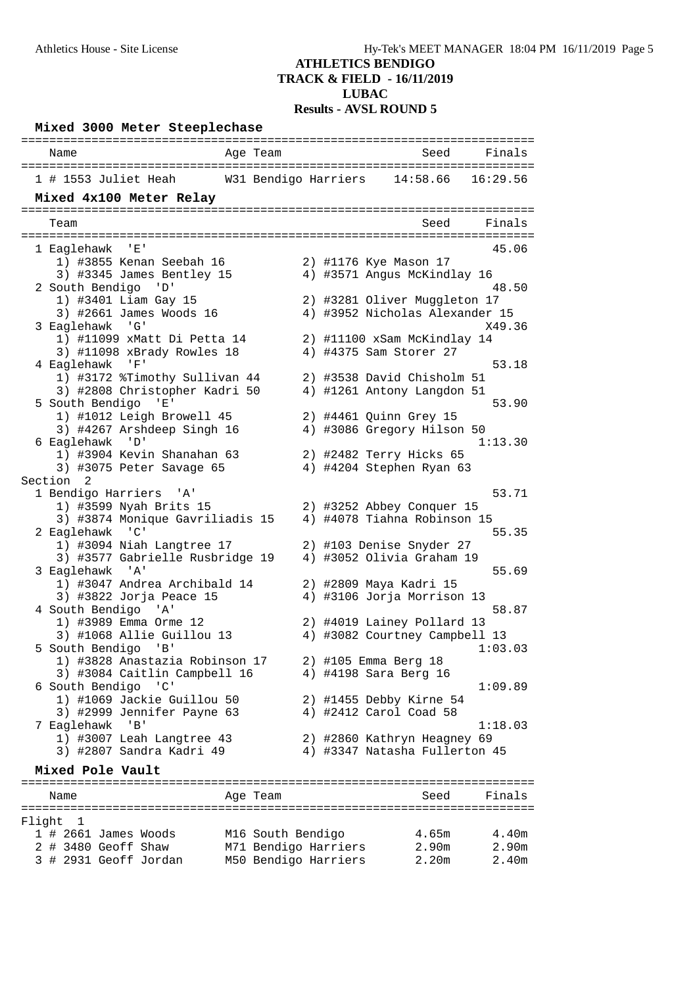#### **Mixed 3000 Meter Steeplechase** ========================================================================= Name Age Team Seed Finals ========================================================================= 1 # 1553 Juliet Heah W31 Bendigo Harriers 14:58.66 16:29.56 **Mixed 4x100 Meter Relay** ========================================================================= Team Seed Finals ========================================================================= 1 Eaglehawk 'E' 45.06 1) #3855 Kenan Seebah 16 2) #1176 Kye Mason 17 3) #3345 James Bentley 15 4) #3571 Angus McKindlay 16 2 South Bendigo 'D' 48.50 1) #3401 Liam Gay 15 2) #3281 Oliver Muggleton 17 3) #2661 James Woods 16 4) #3952 Nicholas Alexander 15 3 Eaglehawk 'G' X49.36 1) #11099 xMatt Di Petta 14 2) #11100 xSam McKindlay 14 3) #11098 xBrady Rowles 18 4) #4375 Sam Storer 27 4 Eaglehawk 'F' 53.18 1) #3172 %Timothy Sullivan 44 2) #3538 David Chisholm 51 3) #2808 Christopher Kadri 50 4) #1261 Antony Langdon 51 5 South Bendigo 'E' 53.90 1) #1012 Leigh Browell 45 2) #4461 Quinn Grey 15 3) #4267 Arshdeep Singh 16 4) #3086 Gregory Hilson 50 6 Eaglehawk 'D' 1:13.30 1) #3904 Kevin Shanahan 63 2) #2482 Terry Hicks 65 3) #3075 Peter Savage 65 4) #4204 Stephen Ryan 63 Section 2<br>1 Bendigo Harriers 'A' 1 Bendigo Harriers 'A' 53.71 1) #3599 Nyah Brits 15 2) #3252 Abbey Conquer 15 3) #3874 Monique Gavriliadis 15 4) #4078 Tiahna Robinson 15 2 Eaglehawk 'C' 55.35 1) #3094 Niah Langtree 17 2) #103 Denise Snyder 27 3) #3577 Gabrielle Rusbridge 19 4) #3052 Olivia Graham 19 3 Eaglehawk 'A' 55.69 1) #3047 Andrea Archibald 14 2) #2809 Maya Kadri 15 3) #3822 Jorja Peace 15 4) #3106 Jorja Morrison 13 4 South Bendigo 'A' 58.87 1) #3989 Emma Orme 12 2) #4019 Lainey Pollard 13 3) #1068 Allie Guillou 13 4) #3082 Courtney Campbell 13 5 South Bendigo 'B' 1:03.03 1) #3828 Anastazia Robinson 17 2) #105 Emma Berg 18 3) #3084 Caitlin Campbell 16 4) #4198 Sara Berg 16 6 South Bendigo 'C' 1:09.89 1) #1069 Jackie Guillou 50 2) #1455 Debby Kirne 54 3) #2999 Jennifer Payne 63 4) #2412 Carol Coad 58 7 Eaglehawk 'B' 1:18.03 1) #3007 Leah Langtree 43 2) #2860 Kathryn Heagney 69 3) #2807 Sandra Kadri 49 4) #3347 Natasha Fullerton 45 **Mixed Pole Vault** ========================================================================= Name **Age Team** Age Team Seed Finals ========================================================================= Flight 1 1 # 2661 James Woods M16 South Bendigo 4.65m 4.40m 2 # 3480 Geoff Shaw M71 Bendigo Harriers 2.90m 2.90m 3 # 2931 Geoff Jordan M50 Bendigo Harriers 2.20m 2.40m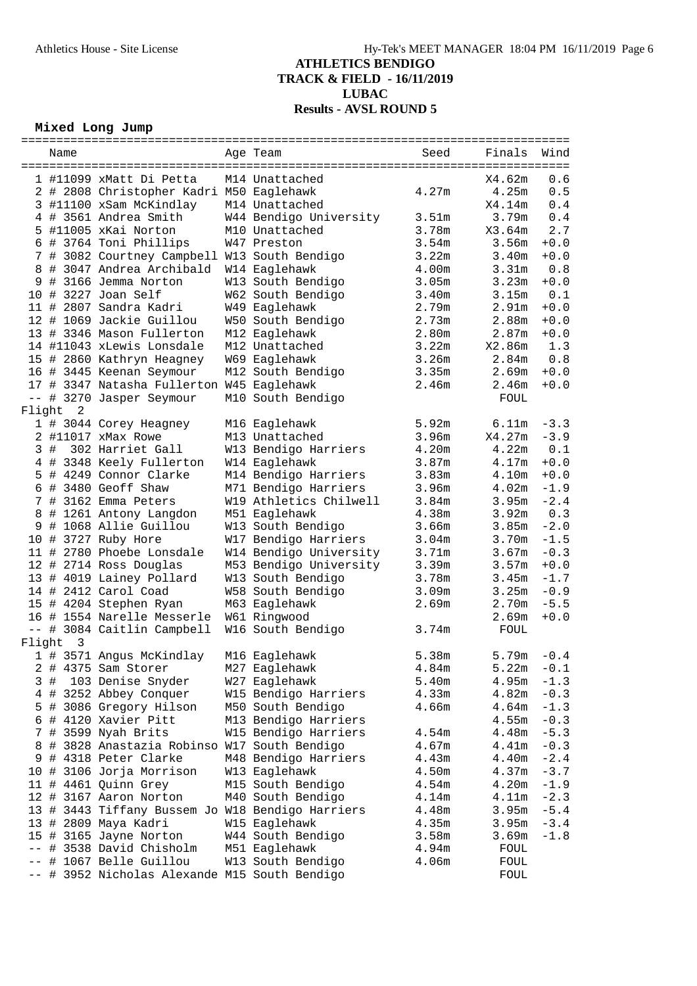### **Mixed Long Jump**

| Wind<br>Seed<br>Finals<br>Name<br>Age Team<br>X4.62m<br>0.6<br>1 #11099 xMatt Di Petta<br>M14 Unattached<br>0.5<br>2 # 2808 Christopher Kadri M50 Eaglehawk<br>4.27m<br>4.25m<br>3 #11100 xSam McKindlay<br>0.4<br>M14 Unattached<br>X4.14m<br>4 # 3561 Andrea Smith<br>3.51m<br>0.4<br>W44 Bendigo University<br>3.79m<br>2.7<br>5 #11005 xKai Norton<br>3.78m<br>X3.64m<br>M10 Unattached<br>6 # 3764 Toni Phillips<br>$+0.0$<br>W47 Preston<br>3.54m<br>3.56m<br>7 # 3082 Courtney Campbell W13 South Bendigo<br>3.22m<br>3.40m<br>$+0.0$<br>8 # 3047 Andrea Archibald<br>0.8<br>W14 Eaglehawk<br>4.00m<br>3.31m<br>9 # 3166 Jemma Norton<br>3.23m<br>$+0.0$<br>W13 South Bendigo<br>3.05m<br>10 # 3227 Joan Self<br>$\ensuremath{\text{0}}$ . $\ensuremath{\text{1}}$<br>W62 South Bendigo<br>3.40m<br>3.15m<br>11 # 2807 Sandra Kadri<br>$+0.0$<br>W49 Eaglehawk<br>2.79m<br>2.91 <sub>m</sub><br>12 # 1069 Jackie Guillou<br>W50 South Bendigo<br>2.73m<br>2.88m<br>$+0.0$<br>13 # 3346 Mason Fullerton<br>M12 Eaglehawk<br>2.80m<br>2.87m<br>$+0.0$<br>14 #11043 xLewis Lonsdale<br>3.22m<br>1.3<br>M12 Unattached<br>X2.86m<br>3.26m<br>0.8<br>15 # 2860 Kathryn Heagney<br>W69 Eaglehawk<br>2.84m<br>$+0.0$<br>16 # 3445 Keenan Seymour<br>M12 South Bendigo<br>3.35m<br>2.69m<br>17 # 3347 Natasha Fullerton W45 Eaglehawk<br>$+0.0$<br>2.46m<br>2.46m<br>-- # 3270 Jasper Seymour<br>M10 South Bendigo<br><b>FOUL</b><br>Flight 2<br>1 # 3044 Corey Heagney<br>5.92m<br>6.11m<br>$-3.3$<br>M16 Eaglehawk<br>2 #11017 xMax Rowe<br>M13 Unattached<br>3.96m<br>X4.27m<br>$-3.9$<br>3#<br>302 Harriet Gall<br>$0.1\,$<br>W13 Bendigo Harriers<br>4.20m<br>4.22m<br>$+0.0$<br>4 # 3348 Keely Fullerton<br>W14 Eaglehawk<br>3.87m<br>4.17m<br>5 # 4249 Connor Clarke<br>M14 Bendigo Harriers<br>3.83m<br>4.10m<br>$+0.0$<br>6 # 3480 Geoff Shaw<br>M71 Bendigo Harriers<br>3.96m<br>4.02m<br>$-1.9$<br>$-2.4\,$<br>W19 Athletics Chilwell<br>7 # 3162 Emma Peters<br>3.84m<br>3.95m<br>0.3<br>8 # 1261 Antony Langdon<br>M51 Eaglehawk<br>4.38m<br>3.92m<br>9 # 1068 Allie Guillou<br>W13 South Bendigo<br>$-2.0$<br>3.66m<br>3.85m<br>W17 Bendigo Harriers<br>$-1.5$<br>10 # 3727 Ruby Hore<br>3.04m<br>3.70m<br>11 # 2780 Phoebe Lonsdale<br>W14 Bendigo University<br>3.71m<br>3.67m<br>$-0.3$<br>12 # 2714 Ross Douglas<br>M53 Bendigo University<br>3.39m<br>3.57m<br>$+0.0$<br>13 # 4019 Lainey Pollard<br>W13 South Bendigo<br>3.78m<br>3.45m<br>$-1.7$<br>3.25m<br>$-0.9$<br>14 # 2412 Carol Coad<br>W58 South Bendigo<br>3.09m<br>$-5.5$<br>15 # 4204 Stephen Ryan<br>M63 Eaglehawk<br>2.69m<br>2.70m<br>16 # 1554 Narelle Messerle<br>W61 Ringwood<br>2.69m<br>$+0.0$<br>W16 South Bendigo<br>-- # 3084 Caitlin Campbell<br>3.74m<br><b>FOUL</b><br>Flight<br>$\overline{\mathbf{3}}$<br>1 # 3571 Angus McKindlay<br>M16 Eaglehawk<br>5.38m<br>5.79m<br>$-0.4$<br>5.22m<br>2 # 4375 Sam Storer<br>M27 Eaglehawk<br>4.84m<br>$-0.1$<br>5.40m<br>4.95m<br>$-1.3$<br>3<br>#<br>103 Denise Snyder<br>W27 Eaglehawk<br># 3252 Abbey Conquer<br>W15 Bendigo Harriers<br>4.33m<br>4.82m<br>$-0.3$<br>4<br>M50 South Bendigo<br>4.64m<br>$-1.3$<br>5<br># 3086 Gregory Hilson<br>4.66m<br>6<br># 4120 Xavier Pitt<br>M13 Bendigo Harriers<br>4.55m<br>$-0.3$<br>7<br># 3599 Nyah Brits<br>W15 Bendigo Harriers<br>4.54m<br>4.48m<br>$-5.3$<br>$-0.3$<br># 3828 Anastazia Robinso W17 South Bendigo<br>4.67m<br>4.41m<br>8<br>9 # 4318 Peter Clarke<br>4.40m<br>$\textcolor{red}{\mathbf{-2.4}}$<br>M48 Bendigo Harriers<br>4.43m<br>10 # 3106 Jorja Morrison<br>4.50m<br>4.37m<br>$-3.7$<br>W13 Eaglehawk<br>11 # 4461 Quinn Grey<br>4.20m<br>M15 South Bendigo<br>4.54m<br>$-1.9$<br>12 # 3167 Aaron Norton<br>M40 South Bendigo<br>4.14m<br>4.11m<br>$-2.3$<br>13 # 3443 Tiffany Bussem Jo W18 Bendigo Harriers<br>3.95m<br>$-5.4$<br>4.48m<br>13 # 2809 Maya Kadri<br>$-3.4$<br>W15 Eaglehawk<br>4.35m<br>3.95m<br>15 # 3165 Jayne Norton<br>W44 South Bendigo<br>3.58m<br>3.69m<br>$-1.8$<br># 3538 David Chisholm<br>M51 Eaglehawk<br>4.94m<br>FOUL<br># 1067 Belle Guillou<br>W13 South Bendigo<br>FOUL<br>4.06m<br>-- # 3952 Nicholas Alexande M15 South Bendigo<br>FOUL |  |  |  |  |  |
|-----------------------------------------------------------------------------------------------------------------------------------------------------------------------------------------------------------------------------------------------------------------------------------------------------------------------------------------------------------------------------------------------------------------------------------------------------------------------------------------------------------------------------------------------------------------------------------------------------------------------------------------------------------------------------------------------------------------------------------------------------------------------------------------------------------------------------------------------------------------------------------------------------------------------------------------------------------------------------------------------------------------------------------------------------------------------------------------------------------------------------------------------------------------------------------------------------------------------------------------------------------------------------------------------------------------------------------------------------------------------------------------------------------------------------------------------------------------------------------------------------------------------------------------------------------------------------------------------------------------------------------------------------------------------------------------------------------------------------------------------------------------------------------------------------------------------------------------------------------------------------------------------------------------------------------------------------------------------------------------------------------------------------------------------------------------------------------------------------------------------------------------------------------------------------------------------------------------------------------------------------------------------------------------------------------------------------------------------------------------------------------------------------------------------------------------------------------------------------------------------------------------------------------------------------------------------------------------------------------------------------------------------------------------------------------------------------------------------------------------------------------------------------------------------------------------------------------------------------------------------------------------------------------------------------------------------------------------------------------------------------------------------------------------------------------------------------------------------------------------------------------------------------------------------------------------------------------------------------------------------------------------------------------------------------------------------------------------------------------------------------------------------------------------------------------------------------------------------------------------------------------------------------------------------------------------------------------------------------------------------------------------------------------------------------------------------------------------------------------------------------------------------------------------------------------------------------------------------------------------------------------------------------------------------------------------------------------------------------------------------------------------------------------------------------------------------------------------------------------------------------------------------------------------------------------------|--|--|--|--|--|
|                                                                                                                                                                                                                                                                                                                                                                                                                                                                                                                                                                                                                                                                                                                                                                                                                                                                                                                                                                                                                                                                                                                                                                                                                                                                                                                                                                                                                                                                                                                                                                                                                                                                                                                                                                                                                                                                                                                                                                                                                                                                                                                                                                                                                                                                                                                                                                                                                                                                                                                                                                                                                                                                                                                                                                                                                                                                                                                                                                                                                                                                                                                                                                                                                                                                                                                                                                                                                                                                                                                                                                                                                                                                                                                                                                                                                                                                                                                                                                                                                                                                                                                                                                                         |  |  |  |  |  |
|                                                                                                                                                                                                                                                                                                                                                                                                                                                                                                                                                                                                                                                                                                                                                                                                                                                                                                                                                                                                                                                                                                                                                                                                                                                                                                                                                                                                                                                                                                                                                                                                                                                                                                                                                                                                                                                                                                                                                                                                                                                                                                                                                                                                                                                                                                                                                                                                                                                                                                                                                                                                                                                                                                                                                                                                                                                                                                                                                                                                                                                                                                                                                                                                                                                                                                                                                                                                                                                                                                                                                                                                                                                                                                                                                                                                                                                                                                                                                                                                                                                                                                                                                                                         |  |  |  |  |  |
|                                                                                                                                                                                                                                                                                                                                                                                                                                                                                                                                                                                                                                                                                                                                                                                                                                                                                                                                                                                                                                                                                                                                                                                                                                                                                                                                                                                                                                                                                                                                                                                                                                                                                                                                                                                                                                                                                                                                                                                                                                                                                                                                                                                                                                                                                                                                                                                                                                                                                                                                                                                                                                                                                                                                                                                                                                                                                                                                                                                                                                                                                                                                                                                                                                                                                                                                                                                                                                                                                                                                                                                                                                                                                                                                                                                                                                                                                                                                                                                                                                                                                                                                                                                         |  |  |  |  |  |
|                                                                                                                                                                                                                                                                                                                                                                                                                                                                                                                                                                                                                                                                                                                                                                                                                                                                                                                                                                                                                                                                                                                                                                                                                                                                                                                                                                                                                                                                                                                                                                                                                                                                                                                                                                                                                                                                                                                                                                                                                                                                                                                                                                                                                                                                                                                                                                                                                                                                                                                                                                                                                                                                                                                                                                                                                                                                                                                                                                                                                                                                                                                                                                                                                                                                                                                                                                                                                                                                                                                                                                                                                                                                                                                                                                                                                                                                                                                                                                                                                                                                                                                                                                                         |  |  |  |  |  |
|                                                                                                                                                                                                                                                                                                                                                                                                                                                                                                                                                                                                                                                                                                                                                                                                                                                                                                                                                                                                                                                                                                                                                                                                                                                                                                                                                                                                                                                                                                                                                                                                                                                                                                                                                                                                                                                                                                                                                                                                                                                                                                                                                                                                                                                                                                                                                                                                                                                                                                                                                                                                                                                                                                                                                                                                                                                                                                                                                                                                                                                                                                                                                                                                                                                                                                                                                                                                                                                                                                                                                                                                                                                                                                                                                                                                                                                                                                                                                                                                                                                                                                                                                                                         |  |  |  |  |  |
|                                                                                                                                                                                                                                                                                                                                                                                                                                                                                                                                                                                                                                                                                                                                                                                                                                                                                                                                                                                                                                                                                                                                                                                                                                                                                                                                                                                                                                                                                                                                                                                                                                                                                                                                                                                                                                                                                                                                                                                                                                                                                                                                                                                                                                                                                                                                                                                                                                                                                                                                                                                                                                                                                                                                                                                                                                                                                                                                                                                                                                                                                                                                                                                                                                                                                                                                                                                                                                                                                                                                                                                                                                                                                                                                                                                                                                                                                                                                                                                                                                                                                                                                                                                         |  |  |  |  |  |
|                                                                                                                                                                                                                                                                                                                                                                                                                                                                                                                                                                                                                                                                                                                                                                                                                                                                                                                                                                                                                                                                                                                                                                                                                                                                                                                                                                                                                                                                                                                                                                                                                                                                                                                                                                                                                                                                                                                                                                                                                                                                                                                                                                                                                                                                                                                                                                                                                                                                                                                                                                                                                                                                                                                                                                                                                                                                                                                                                                                                                                                                                                                                                                                                                                                                                                                                                                                                                                                                                                                                                                                                                                                                                                                                                                                                                                                                                                                                                                                                                                                                                                                                                                                         |  |  |  |  |  |
|                                                                                                                                                                                                                                                                                                                                                                                                                                                                                                                                                                                                                                                                                                                                                                                                                                                                                                                                                                                                                                                                                                                                                                                                                                                                                                                                                                                                                                                                                                                                                                                                                                                                                                                                                                                                                                                                                                                                                                                                                                                                                                                                                                                                                                                                                                                                                                                                                                                                                                                                                                                                                                                                                                                                                                                                                                                                                                                                                                                                                                                                                                                                                                                                                                                                                                                                                                                                                                                                                                                                                                                                                                                                                                                                                                                                                                                                                                                                                                                                                                                                                                                                                                                         |  |  |  |  |  |
|                                                                                                                                                                                                                                                                                                                                                                                                                                                                                                                                                                                                                                                                                                                                                                                                                                                                                                                                                                                                                                                                                                                                                                                                                                                                                                                                                                                                                                                                                                                                                                                                                                                                                                                                                                                                                                                                                                                                                                                                                                                                                                                                                                                                                                                                                                                                                                                                                                                                                                                                                                                                                                                                                                                                                                                                                                                                                                                                                                                                                                                                                                                                                                                                                                                                                                                                                                                                                                                                                                                                                                                                                                                                                                                                                                                                                                                                                                                                                                                                                                                                                                                                                                                         |  |  |  |  |  |
|                                                                                                                                                                                                                                                                                                                                                                                                                                                                                                                                                                                                                                                                                                                                                                                                                                                                                                                                                                                                                                                                                                                                                                                                                                                                                                                                                                                                                                                                                                                                                                                                                                                                                                                                                                                                                                                                                                                                                                                                                                                                                                                                                                                                                                                                                                                                                                                                                                                                                                                                                                                                                                                                                                                                                                                                                                                                                                                                                                                                                                                                                                                                                                                                                                                                                                                                                                                                                                                                                                                                                                                                                                                                                                                                                                                                                                                                                                                                                                                                                                                                                                                                                                                         |  |  |  |  |  |
|                                                                                                                                                                                                                                                                                                                                                                                                                                                                                                                                                                                                                                                                                                                                                                                                                                                                                                                                                                                                                                                                                                                                                                                                                                                                                                                                                                                                                                                                                                                                                                                                                                                                                                                                                                                                                                                                                                                                                                                                                                                                                                                                                                                                                                                                                                                                                                                                                                                                                                                                                                                                                                                                                                                                                                                                                                                                                                                                                                                                                                                                                                                                                                                                                                                                                                                                                                                                                                                                                                                                                                                                                                                                                                                                                                                                                                                                                                                                                                                                                                                                                                                                                                                         |  |  |  |  |  |
|                                                                                                                                                                                                                                                                                                                                                                                                                                                                                                                                                                                                                                                                                                                                                                                                                                                                                                                                                                                                                                                                                                                                                                                                                                                                                                                                                                                                                                                                                                                                                                                                                                                                                                                                                                                                                                                                                                                                                                                                                                                                                                                                                                                                                                                                                                                                                                                                                                                                                                                                                                                                                                                                                                                                                                                                                                                                                                                                                                                                                                                                                                                                                                                                                                                                                                                                                                                                                                                                                                                                                                                                                                                                                                                                                                                                                                                                                                                                                                                                                                                                                                                                                                                         |  |  |  |  |  |
|                                                                                                                                                                                                                                                                                                                                                                                                                                                                                                                                                                                                                                                                                                                                                                                                                                                                                                                                                                                                                                                                                                                                                                                                                                                                                                                                                                                                                                                                                                                                                                                                                                                                                                                                                                                                                                                                                                                                                                                                                                                                                                                                                                                                                                                                                                                                                                                                                                                                                                                                                                                                                                                                                                                                                                                                                                                                                                                                                                                                                                                                                                                                                                                                                                                                                                                                                                                                                                                                                                                                                                                                                                                                                                                                                                                                                                                                                                                                                                                                                                                                                                                                                                                         |  |  |  |  |  |
|                                                                                                                                                                                                                                                                                                                                                                                                                                                                                                                                                                                                                                                                                                                                                                                                                                                                                                                                                                                                                                                                                                                                                                                                                                                                                                                                                                                                                                                                                                                                                                                                                                                                                                                                                                                                                                                                                                                                                                                                                                                                                                                                                                                                                                                                                                                                                                                                                                                                                                                                                                                                                                                                                                                                                                                                                                                                                                                                                                                                                                                                                                                                                                                                                                                                                                                                                                                                                                                                                                                                                                                                                                                                                                                                                                                                                                                                                                                                                                                                                                                                                                                                                                                         |  |  |  |  |  |
|                                                                                                                                                                                                                                                                                                                                                                                                                                                                                                                                                                                                                                                                                                                                                                                                                                                                                                                                                                                                                                                                                                                                                                                                                                                                                                                                                                                                                                                                                                                                                                                                                                                                                                                                                                                                                                                                                                                                                                                                                                                                                                                                                                                                                                                                                                                                                                                                                                                                                                                                                                                                                                                                                                                                                                                                                                                                                                                                                                                                                                                                                                                                                                                                                                                                                                                                                                                                                                                                                                                                                                                                                                                                                                                                                                                                                                                                                                                                                                                                                                                                                                                                                                                         |  |  |  |  |  |
|                                                                                                                                                                                                                                                                                                                                                                                                                                                                                                                                                                                                                                                                                                                                                                                                                                                                                                                                                                                                                                                                                                                                                                                                                                                                                                                                                                                                                                                                                                                                                                                                                                                                                                                                                                                                                                                                                                                                                                                                                                                                                                                                                                                                                                                                                                                                                                                                                                                                                                                                                                                                                                                                                                                                                                                                                                                                                                                                                                                                                                                                                                                                                                                                                                                                                                                                                                                                                                                                                                                                                                                                                                                                                                                                                                                                                                                                                                                                                                                                                                                                                                                                                                                         |  |  |  |  |  |
|                                                                                                                                                                                                                                                                                                                                                                                                                                                                                                                                                                                                                                                                                                                                                                                                                                                                                                                                                                                                                                                                                                                                                                                                                                                                                                                                                                                                                                                                                                                                                                                                                                                                                                                                                                                                                                                                                                                                                                                                                                                                                                                                                                                                                                                                                                                                                                                                                                                                                                                                                                                                                                                                                                                                                                                                                                                                                                                                                                                                                                                                                                                                                                                                                                                                                                                                                                                                                                                                                                                                                                                                                                                                                                                                                                                                                                                                                                                                                                                                                                                                                                                                                                                         |  |  |  |  |  |
|                                                                                                                                                                                                                                                                                                                                                                                                                                                                                                                                                                                                                                                                                                                                                                                                                                                                                                                                                                                                                                                                                                                                                                                                                                                                                                                                                                                                                                                                                                                                                                                                                                                                                                                                                                                                                                                                                                                                                                                                                                                                                                                                                                                                                                                                                                                                                                                                                                                                                                                                                                                                                                                                                                                                                                                                                                                                                                                                                                                                                                                                                                                                                                                                                                                                                                                                                                                                                                                                                                                                                                                                                                                                                                                                                                                                                                                                                                                                                                                                                                                                                                                                                                                         |  |  |  |  |  |
|                                                                                                                                                                                                                                                                                                                                                                                                                                                                                                                                                                                                                                                                                                                                                                                                                                                                                                                                                                                                                                                                                                                                                                                                                                                                                                                                                                                                                                                                                                                                                                                                                                                                                                                                                                                                                                                                                                                                                                                                                                                                                                                                                                                                                                                                                                                                                                                                                                                                                                                                                                                                                                                                                                                                                                                                                                                                                                                                                                                                                                                                                                                                                                                                                                                                                                                                                                                                                                                                                                                                                                                                                                                                                                                                                                                                                                                                                                                                                                                                                                                                                                                                                                                         |  |  |  |  |  |
|                                                                                                                                                                                                                                                                                                                                                                                                                                                                                                                                                                                                                                                                                                                                                                                                                                                                                                                                                                                                                                                                                                                                                                                                                                                                                                                                                                                                                                                                                                                                                                                                                                                                                                                                                                                                                                                                                                                                                                                                                                                                                                                                                                                                                                                                                                                                                                                                                                                                                                                                                                                                                                                                                                                                                                                                                                                                                                                                                                                                                                                                                                                                                                                                                                                                                                                                                                                                                                                                                                                                                                                                                                                                                                                                                                                                                                                                                                                                                                                                                                                                                                                                                                                         |  |  |  |  |  |
|                                                                                                                                                                                                                                                                                                                                                                                                                                                                                                                                                                                                                                                                                                                                                                                                                                                                                                                                                                                                                                                                                                                                                                                                                                                                                                                                                                                                                                                                                                                                                                                                                                                                                                                                                                                                                                                                                                                                                                                                                                                                                                                                                                                                                                                                                                                                                                                                                                                                                                                                                                                                                                                                                                                                                                                                                                                                                                                                                                                                                                                                                                                                                                                                                                                                                                                                                                                                                                                                                                                                                                                                                                                                                                                                                                                                                                                                                                                                                                                                                                                                                                                                                                                         |  |  |  |  |  |
|                                                                                                                                                                                                                                                                                                                                                                                                                                                                                                                                                                                                                                                                                                                                                                                                                                                                                                                                                                                                                                                                                                                                                                                                                                                                                                                                                                                                                                                                                                                                                                                                                                                                                                                                                                                                                                                                                                                                                                                                                                                                                                                                                                                                                                                                                                                                                                                                                                                                                                                                                                                                                                                                                                                                                                                                                                                                                                                                                                                                                                                                                                                                                                                                                                                                                                                                                                                                                                                                                                                                                                                                                                                                                                                                                                                                                                                                                                                                                                                                                                                                                                                                                                                         |  |  |  |  |  |
|                                                                                                                                                                                                                                                                                                                                                                                                                                                                                                                                                                                                                                                                                                                                                                                                                                                                                                                                                                                                                                                                                                                                                                                                                                                                                                                                                                                                                                                                                                                                                                                                                                                                                                                                                                                                                                                                                                                                                                                                                                                                                                                                                                                                                                                                                                                                                                                                                                                                                                                                                                                                                                                                                                                                                                                                                                                                                                                                                                                                                                                                                                                                                                                                                                                                                                                                                                                                                                                                                                                                                                                                                                                                                                                                                                                                                                                                                                                                                                                                                                                                                                                                                                                         |  |  |  |  |  |
|                                                                                                                                                                                                                                                                                                                                                                                                                                                                                                                                                                                                                                                                                                                                                                                                                                                                                                                                                                                                                                                                                                                                                                                                                                                                                                                                                                                                                                                                                                                                                                                                                                                                                                                                                                                                                                                                                                                                                                                                                                                                                                                                                                                                                                                                                                                                                                                                                                                                                                                                                                                                                                                                                                                                                                                                                                                                                                                                                                                                                                                                                                                                                                                                                                                                                                                                                                                                                                                                                                                                                                                                                                                                                                                                                                                                                                                                                                                                                                                                                                                                                                                                                                                         |  |  |  |  |  |
|                                                                                                                                                                                                                                                                                                                                                                                                                                                                                                                                                                                                                                                                                                                                                                                                                                                                                                                                                                                                                                                                                                                                                                                                                                                                                                                                                                                                                                                                                                                                                                                                                                                                                                                                                                                                                                                                                                                                                                                                                                                                                                                                                                                                                                                                                                                                                                                                                                                                                                                                                                                                                                                                                                                                                                                                                                                                                                                                                                                                                                                                                                                                                                                                                                                                                                                                                                                                                                                                                                                                                                                                                                                                                                                                                                                                                                                                                                                                                                                                                                                                                                                                                                                         |  |  |  |  |  |
|                                                                                                                                                                                                                                                                                                                                                                                                                                                                                                                                                                                                                                                                                                                                                                                                                                                                                                                                                                                                                                                                                                                                                                                                                                                                                                                                                                                                                                                                                                                                                                                                                                                                                                                                                                                                                                                                                                                                                                                                                                                                                                                                                                                                                                                                                                                                                                                                                                                                                                                                                                                                                                                                                                                                                                                                                                                                                                                                                                                                                                                                                                                                                                                                                                                                                                                                                                                                                                                                                                                                                                                                                                                                                                                                                                                                                                                                                                                                                                                                                                                                                                                                                                                         |  |  |  |  |  |
|                                                                                                                                                                                                                                                                                                                                                                                                                                                                                                                                                                                                                                                                                                                                                                                                                                                                                                                                                                                                                                                                                                                                                                                                                                                                                                                                                                                                                                                                                                                                                                                                                                                                                                                                                                                                                                                                                                                                                                                                                                                                                                                                                                                                                                                                                                                                                                                                                                                                                                                                                                                                                                                                                                                                                                                                                                                                                                                                                                                                                                                                                                                                                                                                                                                                                                                                                                                                                                                                                                                                                                                                                                                                                                                                                                                                                                                                                                                                                                                                                                                                                                                                                                                         |  |  |  |  |  |
|                                                                                                                                                                                                                                                                                                                                                                                                                                                                                                                                                                                                                                                                                                                                                                                                                                                                                                                                                                                                                                                                                                                                                                                                                                                                                                                                                                                                                                                                                                                                                                                                                                                                                                                                                                                                                                                                                                                                                                                                                                                                                                                                                                                                                                                                                                                                                                                                                                                                                                                                                                                                                                                                                                                                                                                                                                                                                                                                                                                                                                                                                                                                                                                                                                                                                                                                                                                                                                                                                                                                                                                                                                                                                                                                                                                                                                                                                                                                                                                                                                                                                                                                                                                         |  |  |  |  |  |
|                                                                                                                                                                                                                                                                                                                                                                                                                                                                                                                                                                                                                                                                                                                                                                                                                                                                                                                                                                                                                                                                                                                                                                                                                                                                                                                                                                                                                                                                                                                                                                                                                                                                                                                                                                                                                                                                                                                                                                                                                                                                                                                                                                                                                                                                                                                                                                                                                                                                                                                                                                                                                                                                                                                                                                                                                                                                                                                                                                                                                                                                                                                                                                                                                                                                                                                                                                                                                                                                                                                                                                                                                                                                                                                                                                                                                                                                                                                                                                                                                                                                                                                                                                                         |  |  |  |  |  |
|                                                                                                                                                                                                                                                                                                                                                                                                                                                                                                                                                                                                                                                                                                                                                                                                                                                                                                                                                                                                                                                                                                                                                                                                                                                                                                                                                                                                                                                                                                                                                                                                                                                                                                                                                                                                                                                                                                                                                                                                                                                                                                                                                                                                                                                                                                                                                                                                                                                                                                                                                                                                                                                                                                                                                                                                                                                                                                                                                                                                                                                                                                                                                                                                                                                                                                                                                                                                                                                                                                                                                                                                                                                                                                                                                                                                                                                                                                                                                                                                                                                                                                                                                                                         |  |  |  |  |  |
|                                                                                                                                                                                                                                                                                                                                                                                                                                                                                                                                                                                                                                                                                                                                                                                                                                                                                                                                                                                                                                                                                                                                                                                                                                                                                                                                                                                                                                                                                                                                                                                                                                                                                                                                                                                                                                                                                                                                                                                                                                                                                                                                                                                                                                                                                                                                                                                                                                                                                                                                                                                                                                                                                                                                                                                                                                                                                                                                                                                                                                                                                                                                                                                                                                                                                                                                                                                                                                                                                                                                                                                                                                                                                                                                                                                                                                                                                                                                                                                                                                                                                                                                                                                         |  |  |  |  |  |
|                                                                                                                                                                                                                                                                                                                                                                                                                                                                                                                                                                                                                                                                                                                                                                                                                                                                                                                                                                                                                                                                                                                                                                                                                                                                                                                                                                                                                                                                                                                                                                                                                                                                                                                                                                                                                                                                                                                                                                                                                                                                                                                                                                                                                                                                                                                                                                                                                                                                                                                                                                                                                                                                                                                                                                                                                                                                                                                                                                                                                                                                                                                                                                                                                                                                                                                                                                                                                                                                                                                                                                                                                                                                                                                                                                                                                                                                                                                                                                                                                                                                                                                                                                                         |  |  |  |  |  |
|                                                                                                                                                                                                                                                                                                                                                                                                                                                                                                                                                                                                                                                                                                                                                                                                                                                                                                                                                                                                                                                                                                                                                                                                                                                                                                                                                                                                                                                                                                                                                                                                                                                                                                                                                                                                                                                                                                                                                                                                                                                                                                                                                                                                                                                                                                                                                                                                                                                                                                                                                                                                                                                                                                                                                                                                                                                                                                                                                                                                                                                                                                                                                                                                                                                                                                                                                                                                                                                                                                                                                                                                                                                                                                                                                                                                                                                                                                                                                                                                                                                                                                                                                                                         |  |  |  |  |  |
|                                                                                                                                                                                                                                                                                                                                                                                                                                                                                                                                                                                                                                                                                                                                                                                                                                                                                                                                                                                                                                                                                                                                                                                                                                                                                                                                                                                                                                                                                                                                                                                                                                                                                                                                                                                                                                                                                                                                                                                                                                                                                                                                                                                                                                                                                                                                                                                                                                                                                                                                                                                                                                                                                                                                                                                                                                                                                                                                                                                                                                                                                                                                                                                                                                                                                                                                                                                                                                                                                                                                                                                                                                                                                                                                                                                                                                                                                                                                                                                                                                                                                                                                                                                         |  |  |  |  |  |
|                                                                                                                                                                                                                                                                                                                                                                                                                                                                                                                                                                                                                                                                                                                                                                                                                                                                                                                                                                                                                                                                                                                                                                                                                                                                                                                                                                                                                                                                                                                                                                                                                                                                                                                                                                                                                                                                                                                                                                                                                                                                                                                                                                                                                                                                                                                                                                                                                                                                                                                                                                                                                                                                                                                                                                                                                                                                                                                                                                                                                                                                                                                                                                                                                                                                                                                                                                                                                                                                                                                                                                                                                                                                                                                                                                                                                                                                                                                                                                                                                                                                                                                                                                                         |  |  |  |  |  |
|                                                                                                                                                                                                                                                                                                                                                                                                                                                                                                                                                                                                                                                                                                                                                                                                                                                                                                                                                                                                                                                                                                                                                                                                                                                                                                                                                                                                                                                                                                                                                                                                                                                                                                                                                                                                                                                                                                                                                                                                                                                                                                                                                                                                                                                                                                                                                                                                                                                                                                                                                                                                                                                                                                                                                                                                                                                                                                                                                                                                                                                                                                                                                                                                                                                                                                                                                                                                                                                                                                                                                                                                                                                                                                                                                                                                                                                                                                                                                                                                                                                                                                                                                                                         |  |  |  |  |  |
|                                                                                                                                                                                                                                                                                                                                                                                                                                                                                                                                                                                                                                                                                                                                                                                                                                                                                                                                                                                                                                                                                                                                                                                                                                                                                                                                                                                                                                                                                                                                                                                                                                                                                                                                                                                                                                                                                                                                                                                                                                                                                                                                                                                                                                                                                                                                                                                                                                                                                                                                                                                                                                                                                                                                                                                                                                                                                                                                                                                                                                                                                                                                                                                                                                                                                                                                                                                                                                                                                                                                                                                                                                                                                                                                                                                                                                                                                                                                                                                                                                                                                                                                                                                         |  |  |  |  |  |
|                                                                                                                                                                                                                                                                                                                                                                                                                                                                                                                                                                                                                                                                                                                                                                                                                                                                                                                                                                                                                                                                                                                                                                                                                                                                                                                                                                                                                                                                                                                                                                                                                                                                                                                                                                                                                                                                                                                                                                                                                                                                                                                                                                                                                                                                                                                                                                                                                                                                                                                                                                                                                                                                                                                                                                                                                                                                                                                                                                                                                                                                                                                                                                                                                                                                                                                                                                                                                                                                                                                                                                                                                                                                                                                                                                                                                                                                                                                                                                                                                                                                                                                                                                                         |  |  |  |  |  |
|                                                                                                                                                                                                                                                                                                                                                                                                                                                                                                                                                                                                                                                                                                                                                                                                                                                                                                                                                                                                                                                                                                                                                                                                                                                                                                                                                                                                                                                                                                                                                                                                                                                                                                                                                                                                                                                                                                                                                                                                                                                                                                                                                                                                                                                                                                                                                                                                                                                                                                                                                                                                                                                                                                                                                                                                                                                                                                                                                                                                                                                                                                                                                                                                                                                                                                                                                                                                                                                                                                                                                                                                                                                                                                                                                                                                                                                                                                                                                                                                                                                                                                                                                                                         |  |  |  |  |  |
|                                                                                                                                                                                                                                                                                                                                                                                                                                                                                                                                                                                                                                                                                                                                                                                                                                                                                                                                                                                                                                                                                                                                                                                                                                                                                                                                                                                                                                                                                                                                                                                                                                                                                                                                                                                                                                                                                                                                                                                                                                                                                                                                                                                                                                                                                                                                                                                                                                                                                                                                                                                                                                                                                                                                                                                                                                                                                                                                                                                                                                                                                                                                                                                                                                                                                                                                                                                                                                                                                                                                                                                                                                                                                                                                                                                                                                                                                                                                                                                                                                                                                                                                                                                         |  |  |  |  |  |
|                                                                                                                                                                                                                                                                                                                                                                                                                                                                                                                                                                                                                                                                                                                                                                                                                                                                                                                                                                                                                                                                                                                                                                                                                                                                                                                                                                                                                                                                                                                                                                                                                                                                                                                                                                                                                                                                                                                                                                                                                                                                                                                                                                                                                                                                                                                                                                                                                                                                                                                                                                                                                                                                                                                                                                                                                                                                                                                                                                                                                                                                                                                                                                                                                                                                                                                                                                                                                                                                                                                                                                                                                                                                                                                                                                                                                                                                                                                                                                                                                                                                                                                                                                                         |  |  |  |  |  |
|                                                                                                                                                                                                                                                                                                                                                                                                                                                                                                                                                                                                                                                                                                                                                                                                                                                                                                                                                                                                                                                                                                                                                                                                                                                                                                                                                                                                                                                                                                                                                                                                                                                                                                                                                                                                                                                                                                                                                                                                                                                                                                                                                                                                                                                                                                                                                                                                                                                                                                                                                                                                                                                                                                                                                                                                                                                                                                                                                                                                                                                                                                                                                                                                                                                                                                                                                                                                                                                                                                                                                                                                                                                                                                                                                                                                                                                                                                                                                                                                                                                                                                                                                                                         |  |  |  |  |  |
|                                                                                                                                                                                                                                                                                                                                                                                                                                                                                                                                                                                                                                                                                                                                                                                                                                                                                                                                                                                                                                                                                                                                                                                                                                                                                                                                                                                                                                                                                                                                                                                                                                                                                                                                                                                                                                                                                                                                                                                                                                                                                                                                                                                                                                                                                                                                                                                                                                                                                                                                                                                                                                                                                                                                                                                                                                                                                                                                                                                                                                                                                                                                                                                                                                                                                                                                                                                                                                                                                                                                                                                                                                                                                                                                                                                                                                                                                                                                                                                                                                                                                                                                                                                         |  |  |  |  |  |
|                                                                                                                                                                                                                                                                                                                                                                                                                                                                                                                                                                                                                                                                                                                                                                                                                                                                                                                                                                                                                                                                                                                                                                                                                                                                                                                                                                                                                                                                                                                                                                                                                                                                                                                                                                                                                                                                                                                                                                                                                                                                                                                                                                                                                                                                                                                                                                                                                                                                                                                                                                                                                                                                                                                                                                                                                                                                                                                                                                                                                                                                                                                                                                                                                                                                                                                                                                                                                                                                                                                                                                                                                                                                                                                                                                                                                                                                                                                                                                                                                                                                                                                                                                                         |  |  |  |  |  |
|                                                                                                                                                                                                                                                                                                                                                                                                                                                                                                                                                                                                                                                                                                                                                                                                                                                                                                                                                                                                                                                                                                                                                                                                                                                                                                                                                                                                                                                                                                                                                                                                                                                                                                                                                                                                                                                                                                                                                                                                                                                                                                                                                                                                                                                                                                                                                                                                                                                                                                                                                                                                                                                                                                                                                                                                                                                                                                                                                                                                                                                                                                                                                                                                                                                                                                                                                                                                                                                                                                                                                                                                                                                                                                                                                                                                                                                                                                                                                                                                                                                                                                                                                                                         |  |  |  |  |  |
|                                                                                                                                                                                                                                                                                                                                                                                                                                                                                                                                                                                                                                                                                                                                                                                                                                                                                                                                                                                                                                                                                                                                                                                                                                                                                                                                                                                                                                                                                                                                                                                                                                                                                                                                                                                                                                                                                                                                                                                                                                                                                                                                                                                                                                                                                                                                                                                                                                                                                                                                                                                                                                                                                                                                                                                                                                                                                                                                                                                                                                                                                                                                                                                                                                                                                                                                                                                                                                                                                                                                                                                                                                                                                                                                                                                                                                                                                                                                                                                                                                                                                                                                                                                         |  |  |  |  |  |
|                                                                                                                                                                                                                                                                                                                                                                                                                                                                                                                                                                                                                                                                                                                                                                                                                                                                                                                                                                                                                                                                                                                                                                                                                                                                                                                                                                                                                                                                                                                                                                                                                                                                                                                                                                                                                                                                                                                                                                                                                                                                                                                                                                                                                                                                                                                                                                                                                                                                                                                                                                                                                                                                                                                                                                                                                                                                                                                                                                                                                                                                                                                                                                                                                                                                                                                                                                                                                                                                                                                                                                                                                                                                                                                                                                                                                                                                                                                                                                                                                                                                                                                                                                                         |  |  |  |  |  |
|                                                                                                                                                                                                                                                                                                                                                                                                                                                                                                                                                                                                                                                                                                                                                                                                                                                                                                                                                                                                                                                                                                                                                                                                                                                                                                                                                                                                                                                                                                                                                                                                                                                                                                                                                                                                                                                                                                                                                                                                                                                                                                                                                                                                                                                                                                                                                                                                                                                                                                                                                                                                                                                                                                                                                                                                                                                                                                                                                                                                                                                                                                                                                                                                                                                                                                                                                                                                                                                                                                                                                                                                                                                                                                                                                                                                                                                                                                                                                                                                                                                                                                                                                                                         |  |  |  |  |  |
|                                                                                                                                                                                                                                                                                                                                                                                                                                                                                                                                                                                                                                                                                                                                                                                                                                                                                                                                                                                                                                                                                                                                                                                                                                                                                                                                                                                                                                                                                                                                                                                                                                                                                                                                                                                                                                                                                                                                                                                                                                                                                                                                                                                                                                                                                                                                                                                                                                                                                                                                                                                                                                                                                                                                                                                                                                                                                                                                                                                                                                                                                                                                                                                                                                                                                                                                                                                                                                                                                                                                                                                                                                                                                                                                                                                                                                                                                                                                                                                                                                                                                                                                                                                         |  |  |  |  |  |
|                                                                                                                                                                                                                                                                                                                                                                                                                                                                                                                                                                                                                                                                                                                                                                                                                                                                                                                                                                                                                                                                                                                                                                                                                                                                                                                                                                                                                                                                                                                                                                                                                                                                                                                                                                                                                                                                                                                                                                                                                                                                                                                                                                                                                                                                                                                                                                                                                                                                                                                                                                                                                                                                                                                                                                                                                                                                                                                                                                                                                                                                                                                                                                                                                                                                                                                                                                                                                                                                                                                                                                                                                                                                                                                                                                                                                                                                                                                                                                                                                                                                                                                                                                                         |  |  |  |  |  |
|                                                                                                                                                                                                                                                                                                                                                                                                                                                                                                                                                                                                                                                                                                                                                                                                                                                                                                                                                                                                                                                                                                                                                                                                                                                                                                                                                                                                                                                                                                                                                                                                                                                                                                                                                                                                                                                                                                                                                                                                                                                                                                                                                                                                                                                                                                                                                                                                                                                                                                                                                                                                                                                                                                                                                                                                                                                                                                                                                                                                                                                                                                                                                                                                                                                                                                                                                                                                                                                                                                                                                                                                                                                                                                                                                                                                                                                                                                                                                                                                                                                                                                                                                                                         |  |  |  |  |  |
|                                                                                                                                                                                                                                                                                                                                                                                                                                                                                                                                                                                                                                                                                                                                                                                                                                                                                                                                                                                                                                                                                                                                                                                                                                                                                                                                                                                                                                                                                                                                                                                                                                                                                                                                                                                                                                                                                                                                                                                                                                                                                                                                                                                                                                                                                                                                                                                                                                                                                                                                                                                                                                                                                                                                                                                                                                                                                                                                                                                                                                                                                                                                                                                                                                                                                                                                                                                                                                                                                                                                                                                                                                                                                                                                                                                                                                                                                                                                                                                                                                                                                                                                                                                         |  |  |  |  |  |
|                                                                                                                                                                                                                                                                                                                                                                                                                                                                                                                                                                                                                                                                                                                                                                                                                                                                                                                                                                                                                                                                                                                                                                                                                                                                                                                                                                                                                                                                                                                                                                                                                                                                                                                                                                                                                                                                                                                                                                                                                                                                                                                                                                                                                                                                                                                                                                                                                                                                                                                                                                                                                                                                                                                                                                                                                                                                                                                                                                                                                                                                                                                                                                                                                                                                                                                                                                                                                                                                                                                                                                                                                                                                                                                                                                                                                                                                                                                                                                                                                                                                                                                                                                                         |  |  |  |  |  |
|                                                                                                                                                                                                                                                                                                                                                                                                                                                                                                                                                                                                                                                                                                                                                                                                                                                                                                                                                                                                                                                                                                                                                                                                                                                                                                                                                                                                                                                                                                                                                                                                                                                                                                                                                                                                                                                                                                                                                                                                                                                                                                                                                                                                                                                                                                                                                                                                                                                                                                                                                                                                                                                                                                                                                                                                                                                                                                                                                                                                                                                                                                                                                                                                                                                                                                                                                                                                                                                                                                                                                                                                                                                                                                                                                                                                                                                                                                                                                                                                                                                                                                                                                                                         |  |  |  |  |  |
|                                                                                                                                                                                                                                                                                                                                                                                                                                                                                                                                                                                                                                                                                                                                                                                                                                                                                                                                                                                                                                                                                                                                                                                                                                                                                                                                                                                                                                                                                                                                                                                                                                                                                                                                                                                                                                                                                                                                                                                                                                                                                                                                                                                                                                                                                                                                                                                                                                                                                                                                                                                                                                                                                                                                                                                                                                                                                                                                                                                                                                                                                                                                                                                                                                                                                                                                                                                                                                                                                                                                                                                                                                                                                                                                                                                                                                                                                                                                                                                                                                                                                                                                                                                         |  |  |  |  |  |
|                                                                                                                                                                                                                                                                                                                                                                                                                                                                                                                                                                                                                                                                                                                                                                                                                                                                                                                                                                                                                                                                                                                                                                                                                                                                                                                                                                                                                                                                                                                                                                                                                                                                                                                                                                                                                                                                                                                                                                                                                                                                                                                                                                                                                                                                                                                                                                                                                                                                                                                                                                                                                                                                                                                                                                                                                                                                                                                                                                                                                                                                                                                                                                                                                                                                                                                                                                                                                                                                                                                                                                                                                                                                                                                                                                                                                                                                                                                                                                                                                                                                                                                                                                                         |  |  |  |  |  |
|                                                                                                                                                                                                                                                                                                                                                                                                                                                                                                                                                                                                                                                                                                                                                                                                                                                                                                                                                                                                                                                                                                                                                                                                                                                                                                                                                                                                                                                                                                                                                                                                                                                                                                                                                                                                                                                                                                                                                                                                                                                                                                                                                                                                                                                                                                                                                                                                                                                                                                                                                                                                                                                                                                                                                                                                                                                                                                                                                                                                                                                                                                                                                                                                                                                                                                                                                                                                                                                                                                                                                                                                                                                                                                                                                                                                                                                                                                                                                                                                                                                                                                                                                                                         |  |  |  |  |  |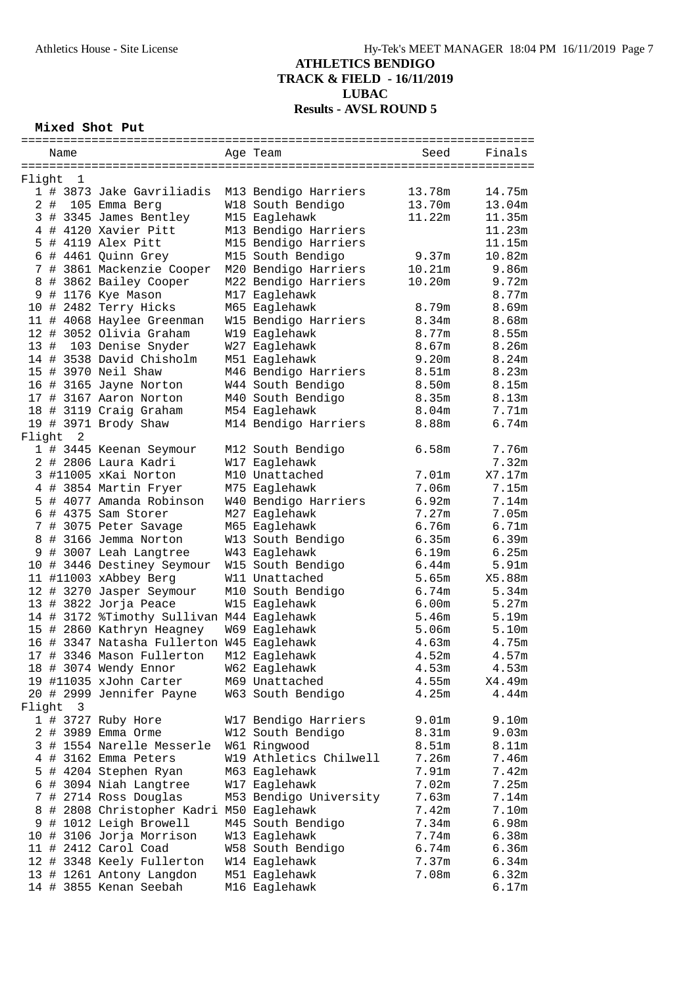**TRACK & FIELD - 16/11/2019**

**LUBAC**

**Results - AVSL ROUND 5**

# **Mixed Shot Put**

|        | Name     |                                           | Age Team               | Seed              | Finals            |
|--------|----------|-------------------------------------------|------------------------|-------------------|-------------------|
|        |          |                                           |                        |                   |                   |
| Flight | 1        |                                           |                        |                   |                   |
|        |          | 1 # 3873 Jake Gavriliadis                 | M13 Bendigo Harriers   | 13.78m            | 14.75m            |
|        |          | 2 # 105 Emma Berg                         | W18 South Bendigo      | 13.70m            | 13.04m            |
|        |          | 3 # 3345 James Bentley                    | M15 Eaglehawk          | 11.22m            | 11.35m            |
|        |          |                                           |                        |                   |                   |
|        |          | 4 # 4120 Xavier Pitt                      | M13 Bendigo Harriers   |                   | 11.23m            |
|        |          | 5 # 4119 Alex Pitt                        | M15 Bendigo Harriers   |                   | 11.15m            |
|        |          | 6 # 4461 Quinn Grey                       | M15 South Bendigo      | 9.37m             | 10.82m            |
|        |          | 7 # 3861 Mackenzie Cooper                 | M20 Bendigo Harriers   | 10.21m            | 9.86m             |
|        |          | 8 # 3862 Bailey Cooper                    | M22 Bendigo Harriers   | 10.20m            | 9.72m             |
|        |          | 9 # 1176 Kye Mason                        | M17 Eaglehawk          |                   | 8.77m             |
|        |          | 10 # 2482 Terry Hicks                     | M65 Eaglehawk          | 8.79m             | 8.69m             |
|        |          | 11 # 4068 Haylee Greenman                 | W15 Bendigo Harriers   | 8.34m             | 8.68m             |
|        |          | 12 # 3052 Olivia Graham                   | W19 Eaglehawk          | 8.77m             | 8.55m             |
|        |          | 13 # 103 Denise Snyder                    | W27 Eaglehawk          | 8.67m             | 8.26m             |
|        |          | 14 # 3538 David Chisholm                  | M51 Eaglehawk          | 9.20m             | 8.24m             |
|        |          | 15 # 3970 Neil Shaw                       | M46 Bendigo Harriers   | 8.51m             | 8.23m             |
|        |          | 16 # 3165 Jayne Norton                    | W44 South Bendigo      | 8.50m             | 8.15m             |
|        |          |                                           |                        |                   |                   |
|        |          | 17 # 3167 Aaron Norton                    | M40 South Bendigo      | 8.35m             | 8.13m             |
|        |          | 18 # 3119 Craig Graham                    | M54 Eaglehawk          | 8.04 <sub>m</sub> | 7.71m             |
|        |          | 19 # 3971 Brody Shaw                      | M14 Bendigo Harriers   | 8.88m             | $6.74m$           |
|        | Flight 2 |                                           |                        |                   |                   |
|        |          | 1 # 3445 Keenan Seymour                   | M12 South Bendigo      | 6.58m             | 7.76m             |
|        |          | 2 # 2806 Laura Kadri                      | W17 Eaglehawk          |                   | 7.32m             |
|        |          | 3 #11005 xKai Norton                      | M10 Unattached         | 7.01m             | X7.17m            |
|        |          | 4 # 3854 Martin Fryer                     | M75 Eaglehawk          | 7.06m             | 7.15m             |
|        |          | 5 # 4077 Amanda Robinson                  | W40 Bendigo Harriers   | 6.92m             | 7.14m             |
|        |          | $6$ # 4375 Sam Storer                     | M27 Eaglehawk          | 7.27m             | 7.05m             |
|        |          | 7 # 3075 Peter Savage                     | M65 Eaglehawk          | 6.76m             | 6.71m             |
|        |          | 8 # 3166 Jemma Norton                     | W13 South Bendigo      | 6.35m             | 6.39m             |
|        |          |                                           |                        |                   |                   |
|        |          | 9 # 3007 Leah Langtree                    | W43 Eaglehawk          | 6.19m             | 6.25m             |
|        |          | 10 # 3446 Destiney Seymour                | W15 South Bendigo      | 6.44m             | 5.91 <sub>m</sub> |
|        |          | 11 #11003 xAbbey Berg                     | W11 Unattached         | 5.65m             | X5.88m            |
|        |          | 12 # 3270 Jasper Seymour                  | M10 South Bendigo      | 6.74m             | 5.34m             |
|        |          | 13 # 3822 Jorja Peace                     | W15 Eaglehawk          | 6.00m             | 5.27m             |
|        |          | 14 # 3172 %Timothy Sullivan M44 Eaglehawk |                        | 5.46m             | 5.19m             |
|        |          | 15 # 2860 Kathryn Heagney                 | W69 Eaglehawk          | 5.06m             | 5.10m             |
|        |          | 16 # 3347 Natasha Fullerton W45 Eaglehawk |                        | 4.63m             | 4.75m             |
|        |          | 17 # 3346 Mason Fullerton                 | M12 Eaglehawk          | 4.52m             | 4.57m             |
|        |          | 18 # 3074 Wendy Ennor                     | W62 Eaglehawk          | 4.53m             | 4.53m             |
|        |          | 19 #11035 xJohn Carter                    | M69 Unattached         | 4.55m             | X4.49m            |
|        |          | 20 # 2999 Jennifer Payne                  | W63 South Bendigo      | 4.25m             | 4.44m             |
|        |          |                                           |                        |                   |                   |
| Flight | 3        |                                           |                        |                   |                   |
|        |          | 1 # 3727 Ruby Hore                        | W17 Bendigo Harriers   | 9.01 <sub>m</sub> | 9.10m             |
|        |          | 2 # 3989 Emma Orme                        | W12 South Bendigo      | 8.31m             | 9.03m             |
|        |          | 3 # 1554 Narelle Messerle                 | W61 Ringwood           | 8.51m             | 8.11m             |
|        |          | 4 # 3162 Emma Peters                      | W19 Athletics Chilwell | 7.26m             | 7.46m             |
|        |          | 5 # 4204 Stephen Ryan                     | M63 Eaglehawk          | 7.91m             | 7.42m             |
|        |          | 6 # 3094 Niah Langtree                    | W17 Eaglehawk          | 7.02m             | 7.25m             |
| 7      |          | # 2714 Ross Douglas                       | M53 Bendigo University | 7.63m             | 7.14m             |
| 8      |          | # 2808 Christopher Kadri M50 Eaglehawk    |                        | 7.42m             | 7.10m             |
|        |          | 9 # 1012 Leigh Browell                    | M45 South Bendigo      | 7.34m             | 6.98m             |
|        |          | 10 # 3106 Jorja Morrison                  | W13 Eaglehawk          | 7.74m             | 6.38m             |
|        |          |                                           |                        |                   |                   |
|        |          | 11 # 2412 Carol Coad                      | W58 South Bendigo      | 6.74m             | 6.36m             |
|        |          | 12 # 3348 Keely Fullerton                 | W14 Eaglehawk          | 7.37m             | 6.34m             |
|        |          | 13 # 1261 Antony Langdon                  | M51 Eaglehawk          | 7.08m             | 6.32m             |
|        |          | 14 # 3855 Kenan Seebah                    | M16 Eaglehawk          |                   | 6.17m             |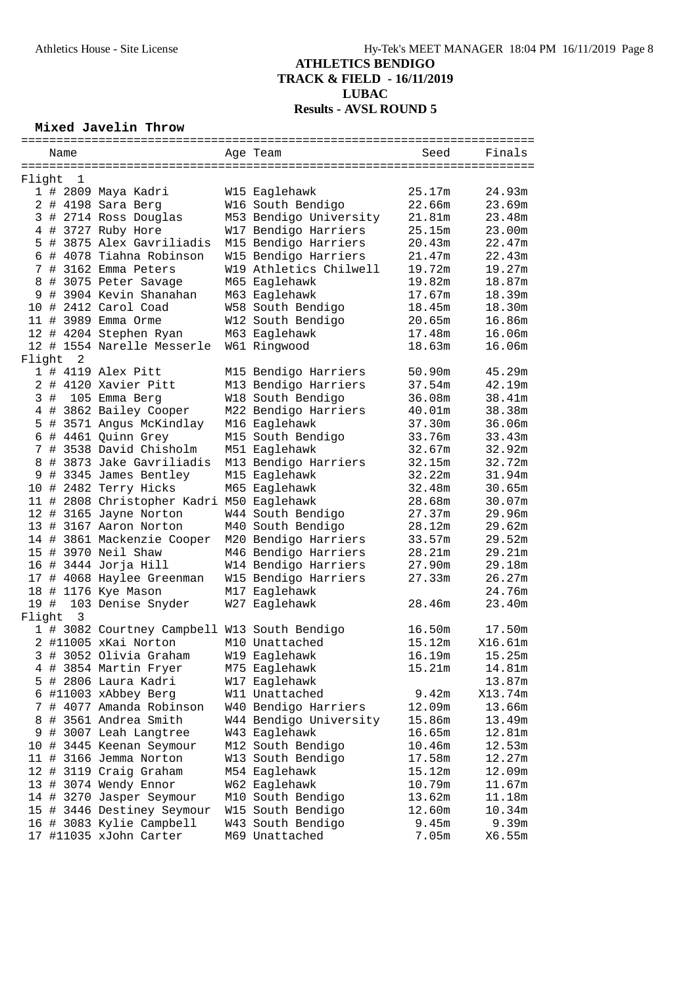### **Mixed Javelin Throw**

|        |  | Name           |                                              |  | Age Team                       | Seed   | Finals  |
|--------|--|----------------|----------------------------------------------|--|--------------------------------|--------|---------|
|        |  |                |                                              |  |                                |        |         |
| Flight |  | 1              |                                              |  |                                |        |         |
|        |  |                | 1 # 2809 Maya Kadri                          |  | W15 Eaglehawk                  | 25.17m | 24.93m  |
|        |  |                | 2 # 4198 Sara Berg                           |  | W16 South Bendigo              | 22.66m | 23.69m  |
|        |  |                | 3 # 2714 Ross Douglas                        |  | M53 Bendigo University         | 21.81m | 23.48m  |
|        |  |                | 4 # 3727 Ruby Hore                           |  | W17 Bendigo Harriers           | 25.15m | 23.00m  |
|        |  |                | 5 # 3875 Alex Gavriliadis                    |  | M15 Bendigo Harriers           | 20.43m | 22.47m  |
|        |  |                | 6 # 4078 Tiahna Robinson                     |  | W15 Bendigo Harriers           | 21.47m | 22.43m  |
|        |  |                | 7 # 3162 Emma Peters                         |  | W19 Athletics Chilwell         | 19.72m | 19.27m  |
|        |  |                | 8 # 3075 Peter Savage                        |  | M65 Eaglehawk                  | 19.82m | 18.87m  |
|        |  |                | 9 # 3904 Kevin Shanahan                      |  | M63 Eaglehawk                  | 17.67m | 18.39m  |
|        |  |                |                                              |  |                                |        |         |
|        |  |                | 10 # 2412 Carol Coad                         |  | W58 South Bendigo              | 18.45m | 18.30m  |
|        |  |                | 11 # 3989 Emma Orme                          |  | W12 South Bendigo              | 20.65m | 16.86m  |
|        |  |                | 12 # 4204 Stephen Ryan                       |  | M63 Eaglehawk                  | 17.48m | 16.06m  |
|        |  |                | 12 # 1554 Narelle Messerle                   |  | W61 Ringwood                   | 18.63m | 16.06m  |
| Flight |  | 2              |                                              |  |                                |        |         |
|        |  |                | 1 # 4119 Alex Pitt                           |  | M15 Bendigo Harriers           | 50.90m | 45.29m  |
|        |  |                | 2 # 4120 Xavier Pitt                         |  | M13 Bendigo Harriers           | 37.54m | 42.19m  |
|        |  |                | 3 # 105 Emma Berg                            |  | W18 South Bendigo              | 36.08m | 38.41m  |
|        |  |                | 4 # 3862 Bailey Cooper                       |  | M22 Bendigo Harriers           | 40.01m | 38.38m  |
|        |  |                | 5 # 3571 Angus McKindlay                     |  | M16 Eaglehawk                  | 37.30m | 36.06m  |
|        |  |                | 6 # 4461 Quinn Grey                          |  | M15 South Bendigo              | 33.76m | 33.43m  |
|        |  |                | 7 # 3538 David Chisholm                      |  | M51 Eaglehawk                  | 32.67m | 32.92m  |
|        |  |                | 8 # 3873 Jake Gavriliadis                    |  | M13 Bendigo Harriers           | 32.15m | 32.72m  |
|        |  |                | 9 # 3345 James Bentley                       |  | M15 Eaglehawk                  | 32.22m | 31.94m  |
|        |  |                | 10 # 2482 Terry Hicks                        |  | M65 Eaglehawk                  | 32.48m | 30.65m  |
|        |  |                | 11 # 2808 Christopher Kadri M50 Eaglehawk    |  |                                | 28.68m | 30.07m  |
|        |  |                | 12 # 3165 Jayne Norton                       |  | W44 South Bendigo              | 27.37m | 29.96m  |
|        |  |                | 13 # 3167 Aaron Norton                       |  | M40 South Bendigo              | 28.12m | 29.62m  |
|        |  |                | 14 # 3861 Mackenzie Cooper                   |  | M20 Bendigo Harriers           | 33.57m | 29.52m  |
|        |  |                | 15 # 3970 Neil Shaw                          |  | M46 Bendigo Harriers           | 28.21m | 29.21m  |
|        |  |                | 16 # 3444 Jorja Hill                         |  | W14 Bendigo Harriers           | 27.90m | 29.18m  |
|        |  |                | 17 # 4068 Haylee Greenman                    |  | W15 Bendigo Harriers           | 27.33m | 26.27m  |
|        |  |                | 18 # 1176 Kye Mason                          |  | M17 Eaglehawk                  |        | 24.76m  |
|        |  |                | 19 # 103 Denise Snyder                       |  | W27 Eaglehawk                  | 28.46m | 23.40m  |
| Flight |  | $\overline{3}$ |                                              |  |                                |        |         |
|        |  |                | 1 # 3082 Courtney Campbell W13 South Bendigo |  |                                | 16.50m | 17.50m  |
|        |  |                | 2 #11005 xKai Norton                         |  | M10 Unattached                 | 15.12m | X16.61m |
|        |  |                | 3 # 3052 Olivia Graham                       |  | W19 Eaglehawk                  | 16.19m | 15.25m  |
|        |  |                |                                              |  |                                |        |         |
|        |  |                | 4 # 3854 Martin Fryer                        |  | M75 Eaglehawk<br>W17 Eaglehawk | 15.21m | 14.81m  |
|        |  |                | 5 # 2806 Laura Kadri                         |  |                                |        | 13.87m  |
|        |  |                | 6 #11003 xAbbey Berg                         |  | W11 Unattached                 | 9.42m  | X13.74m |
| 7      |  |                | # 4077 Amanda Robinson                       |  | W40 Bendigo Harriers           | 12.09m | 13.66m  |
| 8      |  |                | # 3561 Andrea Smith                          |  | W44 Bendigo University         | 15.86m | 13.49m  |
| 9      |  |                | # 3007 Leah Langtree                         |  | W43 Eaglehawk                  | 16.65m | 12.81m  |
|        |  |                | 10 # 3445 Keenan Seymour                     |  | M12 South Bendigo              | 10.46m | 12.53m  |
|        |  |                | 11 # 3166 Jemma Norton                       |  | W13 South Bendigo              | 17.58m | 12.27m  |
|        |  |                | 12 # 3119 Craig Graham                       |  | M54 Eaglehawk                  | 15.12m | 12.09m  |
|        |  |                | 13 # 3074 Wendy Ennor                        |  | W62 Eaglehawk                  | 10.79m | 11.67m  |
|        |  |                | 14 # 3270 Jasper Seymour                     |  | M10 South Bendigo              | 13.62m | 11.18m  |
|        |  |                | 15 # 3446 Destiney Seymour                   |  | W15 South Bendigo              | 12.60m | 10.34m  |
|        |  |                | 16 # 3083 Kylie Campbell                     |  | W43 South Bendigo              | 9.45m  | 9.39m   |
|        |  |                | 17 #11035 xJohn Carter                       |  | M69 Unattached                 | 7.05m  | X6.55m  |